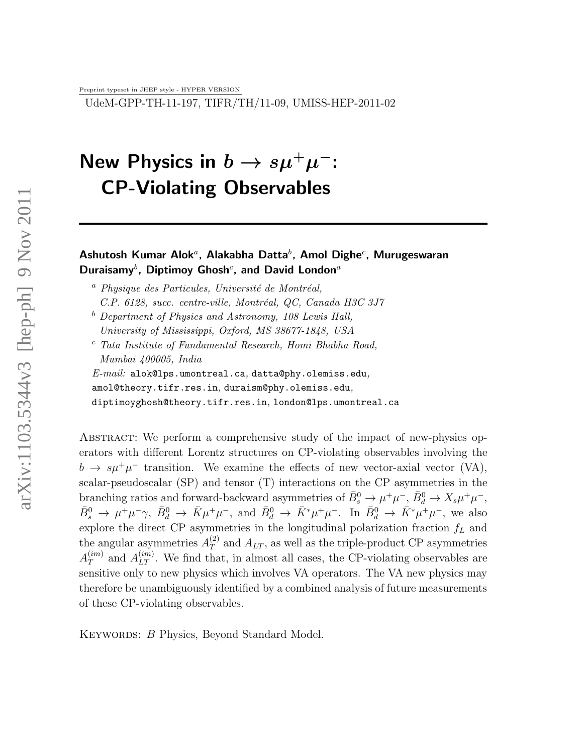Preprint typeset in JHEP style - HYPER VERSION

UdeM-GPP-TH-11-197, TIFR/TH/11-09, UMISS-HEP-2011-02

# New Physics in  $b\to s\mu^+\mu^-$ : CP-Violating Observables

### Ashutosh Kumar Alok ${}^a$ , Alakabha Datta ${}^b$ , Amol Dighe ${}^c$ , Murugeswaran Duraisamy $^b$ , Diptimoy Ghosh $^c$ , and David London $^a$

- $a$  Physique des Particules, Université de Montréal,  $C.P.$  6128, succ. centre-ville, Montréal, QC, Canada H3C 3J7
- $b$  Department of Physics and Astronomy, 108 Lewis Hall, University of Mississippi, Oxford, MS 38677-1848, USA
- <sup>c</sup> Tata Institute of Fundamental Research, Homi Bhabha Road, Mumbai 400005, India

 $E\text{-}mail:$  alok@lps.umontreal.ca, datta@phy.olemiss.edu, amol@theory.tifr.res.in, duraism@phy.olemiss.edu, diptimoyghosh@theory.tifr.res.in, london@lps.umontreal.ca

Abstract: We perform a comprehensive study of the impact of new-physics operators with different Lorentz structures on CP-violating observables involving the  $b \to s\mu^+\mu^-$  transition. We examine the effects of new vector-axial vector (VA), scalar-pseudoscalar (SP) and tensor (T) interactions on the CP asymmetries in the branching ratios and forward-backward asymmetries of  $\bar{B}^0_s \to \mu^+ \mu^-$ ,  $\bar{B}^0_d \to X_s \mu^+ \mu^-$ ,  $\bar{B}^0_s \to \mu^+\mu^-\gamma$ ,  $\bar{B}^0_d \to \bar{K}\mu^+\mu^-$ , and  $\bar{B}^0_d \to \bar{K}^*\mu^+\mu^-$ . In  $\bar{B}^0_d \to \bar{K}^*\mu^+\mu^-$ , we also explore the direct CP asymmetries in the longitudinal polarization fraction  $f<sub>L</sub>$  and the angular asymmetries  $A_T^{(2)}$  $T<sup>(2)</sup>$  and  $A_{LT}$ , as well as the triple-product CP asymmetries  $A_{T}^{\left( {im} \right)}$  $T^{(im)}$  and  $A_{LT}^{(im)}$ . We find that, in almost all cases, the CP-violating observables are sensitive only to new physics which involves VA operators. The VA new physics may therefore be unambiguously identified by a combined analysis of future measurements of these CP-violating observables.

KEYWORDS: B Physics, Beyond Standard Model.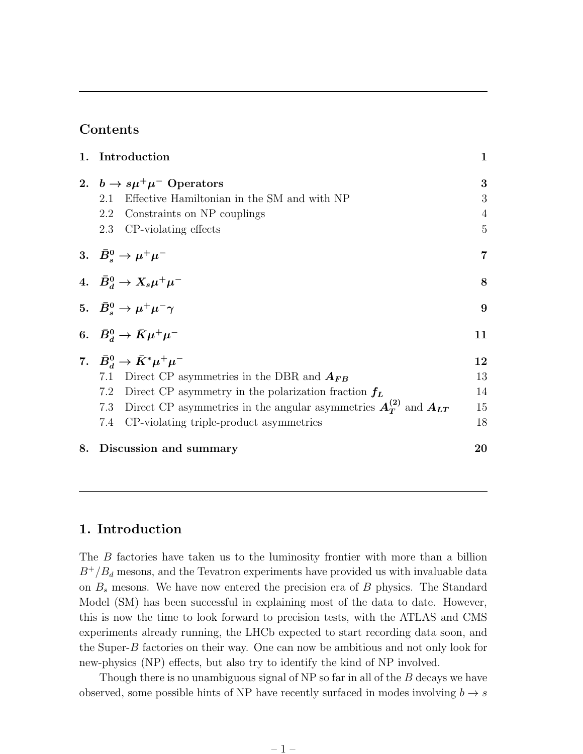### Contents

|    | 1. Introduction                                                                  | 1              |
|----|----------------------------------------------------------------------------------|----------------|
|    | 2. $b \rightarrow s\mu^{+}\mu^{-}$ Operators                                     | 3              |
|    | Effective Hamiltonian in the SM and with NP<br>2.1                               | 3              |
|    | 2.2<br>Constraints on NP couplings                                               | 4              |
|    | 2.3<br>CP-violating effects                                                      | $\overline{5}$ |
|    | 3. $\bar{B}^0_s \to \mu^+ \mu^-$                                                 | $\overline{7}$ |
|    | 4. $\bar{B}_d^0 \to X_s \mu^+ \mu^-$                                             | 8              |
|    | 5. $\bar{B}_s^0 \to \mu^+ \mu^- \gamma$                                          | 9              |
|    | 6. $\bar{B}_d^0 \to \bar{K} \mu^+ \mu^-$                                         | 11             |
|    | 7. $\bar{B}_d^0 \to \bar{K}^* \mu^+ \mu^-$                                       | 12             |
|    | Direct CP asymmetries in the DBR and $A_{FB}$<br>7.1                             | 13             |
|    | Direct CP asymmetry in the polarization fraction $f_L$<br>7.2                    | 14             |
|    | Direct CP asymmetries in the angular asymmetries $A_T^{(2)}$ and $A_{LT}$<br>7.3 | 15             |
|    | CP-violating triple-product asymmetries<br>7.4                                   | 18             |
| 8. | Discussion and summary                                                           | 20             |

### 1. Introduction

The B factories have taken us to the luminosity frontier with more than a billion  $B^+/B_d$  mesons, and the Tevatron experiments have provided us with invaluable data on  $B_s$  mesons. We have now entered the precision era of  $B$  physics. The Standard Model (SM) has been successful in explaining most of the data to date. However, this is now the time to look forward to precision tests, with the ATLAS and CMS experiments already running, the LHCb expected to start recording data soon, and the Super-B factories on their way. One can now be ambitious and not only look for new-physics (NP) effects, but also try to identify the kind of NP involved.

Though there is no unambiguous signal of NP so far in all of the B decays we have observed, some possible hints of NP have recently surfaced in modes involving  $b \rightarrow s$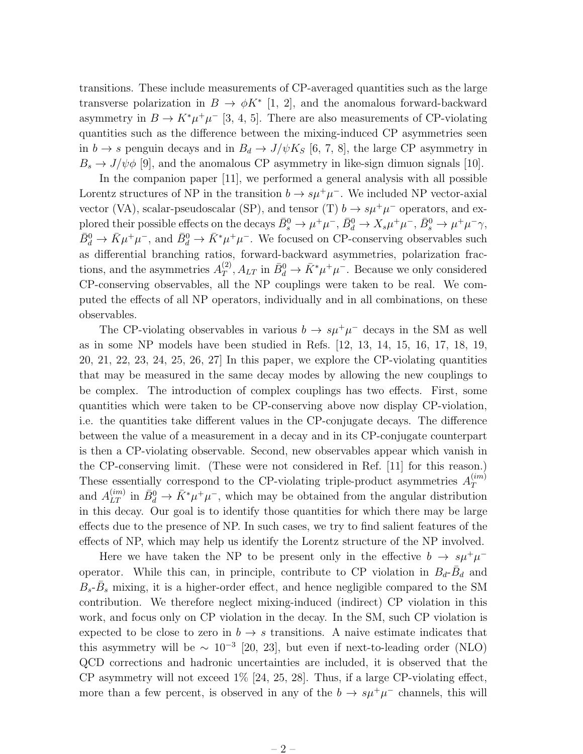transitions. These include measurements of CP-averaged quantities such as the large transverse polarization in  $B \to \phi K^*$  [1, 2], and the anomalous forward-backward asymmetry in  $B \to K^*\mu^+\mu^-$  [3, 4, 5]. There are also measurements of CP-violating quantities such as the difference between the mixing-induced CP asymmetries seen in  $b \to s$  penguin decays and in  $B_d \to J/\psi K_S$  [6, 7, 8], the large CP asymmetry in  $B_s \to J/\psi \phi$  [9], and the anomalous CP asymmetry in like-sign dimuon signals [10].

In the companion paper [11], we performed a general analysis with all possible Lorentz structures of NP in the transition  $b \to s\mu^+\mu^-$ . We included NP vector-axial vector (VA), scalar-pseudoscalar (SP), and tensor (T)  $b \rightarrow s\mu^{+}\mu^{-}$  operators, and explored their possible effects on the decays  $\bar{B}^0_s \to \mu^+\mu^-$ ,  $\bar{B}^0_d \to X_s\mu^+\mu^-$ ,  $\bar{B}^0_s \to \mu^+\mu^-\gamma$ ,  $\bar{B}^0_d \to \bar{K} \mu^+\mu^-$ , and  $\bar{B}^0_d \to \bar{K}^*\mu^+\mu^-$ . We focused on CP-conserving observables such as differential branching ratios, forward-backward asymmetries, polarization fractions, and the asymmetries  $A_T^{(2)}$  $T_T^{(2)}$ ,  $A_{LT}$  in  $\bar{B}_d^0 \to \bar{K}^* \mu^+ \mu^-$ . Because we only considered CP-conserving observables, all the NP couplings were taken to be real. We computed the effects of all NP operators, individually and in all combinations, on these observables.

The CP-violating observables in various  $b \to s\mu^+\mu^-$  decays in the SM as well as in some NP models have been studied in Refs. [12, 13, 14, 15, 16, 17, 18, 19, 20, 21, 22, 23, 24, 25, 26, 27] In this paper, we explore the CP-violating quantities that may be measured in the same decay modes by allowing the new couplings to be complex. The introduction of complex couplings has two effects. First, some quantities which were taken to be CP-conserving above now display CP-violation, i.e. the quantities take different values in the CP-conjugate decays. The difference between the value of a measurement in a decay and in its CP-conjugate counterpart is then a CP-violating observable. Second, new observables appear which vanish in the CP-conserving limit. (These were not considered in Ref. [11] for this reason.) These essentially correspond to the CP-violating triple-product asymmetries  $A_T^{(im)}$ T and  $A_{LT}^{(im)}$  in  $\bar{B}_d^0 \to \bar{K}^* \mu^+ \mu^-$ , which may be obtained from the angular distribution in this decay. Our goal is to identify those quantities for which there may be large effects due to the presence of NP. In such cases, we try to find salient features of the effects of NP, which may help us identify the Lorentz structure of the NP involved.

Here we have taken the NP to be present only in the effective  $b \to s\mu^+\mu^$ operator. While this can, in principle, contribute to CP violation in  $B_d$ - $\bar{B}_d$  and  $B_s$ - $\bar{B}_s$  mixing, it is a higher-order effect, and hence negligible compared to the SM contribution. We therefore neglect mixing-induced (indirect) CP violation in this work, and focus only on CP violation in the decay. In the SM, such CP violation is expected to be close to zero in  $b \to s$  transitions. A naive estimate indicates that this asymmetry will be  $\sim 10^{-3}$  [20, 23], but even if next-to-leading order (NLO) QCD corrections and hadronic uncertainties are included, it is observed that the CP asymmetry will not exceed 1% [24, 25, 28]. Thus, if a large CP-violating effect, more than a few percent, is observed in any of the  $b \to s\mu^+\mu^-$  channels, this will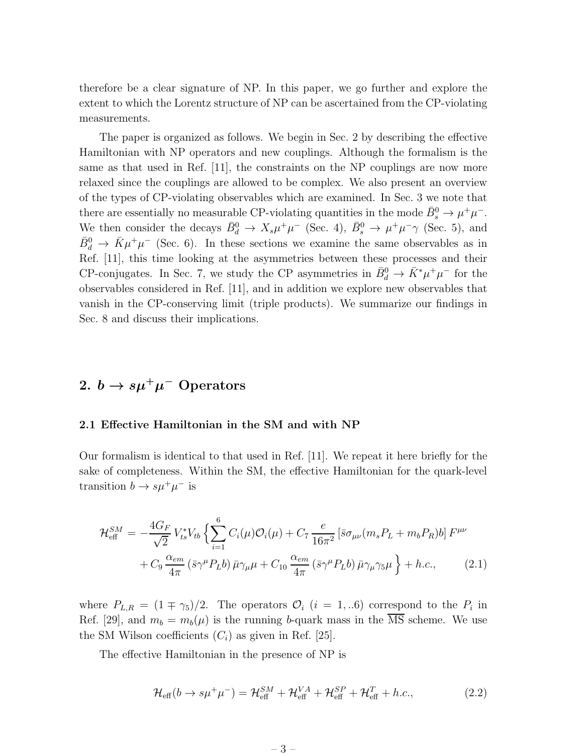therefore be a clear signature of NP. In this paper, we go further and explore the extent to which the Lorentz structure of NP can be ascertained from the CP-violating measurements.

The paper is organized as follows. We begin in Sec. 2 by describing the effective Hamiltonian with NP operators and new couplings. Although the formalism is the same as that used in Ref. [11], the constraints on the NP couplings are now more relaxed since the couplings are allowed to be complex. We also present an overview of the types of CP-violating observables which are examined. In Sec. 3 we note that there are essentially no measurable CP-violating quantities in the mode  $\bar{B}_s^0 \to \mu^+ \mu^-$ . We then consider the decays  $\bar{B}_d^0 \to X_s \mu^+ \mu^-$  (Sec. 4),  $\bar{B}_s^0 \to \mu^+ \mu^- \gamma$  (Sec. 5), and  $\bar{B}^0_d \to \bar{K}\mu^+\mu^-$  (Sec. 6). In these sections we examine the same observables as in Ref. [11], this time looking at the asymmetries between these processes and their CP-conjugates. In Sec. 7, we study the CP asymmetries in  $\bar{B}_d^0 \to \bar{K}^* \mu^+ \mu^-$  for the observables considered in Ref. [11], and in addition we explore new observables that vanish in the CP-conserving limit (triple products). We summarize our findings in Sec. 8 and discuss their implications.

## 2.  $b \to s \mu^+ \mu^-$  Operators

#### 2.1 Effective Hamiltonian in the SM and with NP

Our formalism is identical to that used in Ref. [11]. We repeat it here briefly for the sake of completeness. Within the SM, the effective Hamiltonian for the quark-level transition  $b \to s\mu^+\mu^-$  is

$$
\mathcal{H}_{\text{eff}}^{SM} = -\frac{4G_F}{\sqrt{2}} V_{ts}^* V_{tb} \left\{ \sum_{i=1}^6 C_i(\mu) \mathcal{O}_i(\mu) + C_7 \frac{e}{16\pi^2} \left[ \bar{s} \sigma_{\mu\nu} (m_s P_L + m_b P_R) b \right] F^{\mu\nu} \right. \\ \left. + C_9 \frac{\alpha_{em}}{4\pi} \left( \bar{s} \gamma^\mu P_L b \right) \bar{\mu} \gamma_\mu \mu + C_{10} \frac{\alpha_{em}}{4\pi} \left( \bar{s} \gamma^\mu P_L b \right) \bar{\mu} \gamma_\mu \gamma_5 \mu \right\} + h.c., \tag{2.1}
$$

where  $P_{L,R} = (1 \mp \gamma_5)/2$ . The operators  $\mathcal{O}_i$   $(i = 1,..6)$  correspond to the  $P_i$  in Ref. [29], and  $m_b = m_b(\mu)$  is the running b-quark mass in the  $\overline{\text{MS}}$  scheme. We use the SM Wilson coefficients  $(C_i)$  as given in Ref. [25].

The effective Hamiltonian in the presence of NP is

$$
\mathcal{H}_{\text{eff}}(b \to s\mu^{+}\mu^{-}) = \mathcal{H}_{\text{eff}}^{SM} + \mathcal{H}_{\text{eff}}^{VA} + \mathcal{H}_{\text{eff}}^{SP} + \mathcal{H}_{\text{eff}}^{T} + h.c., \qquad (2.2)
$$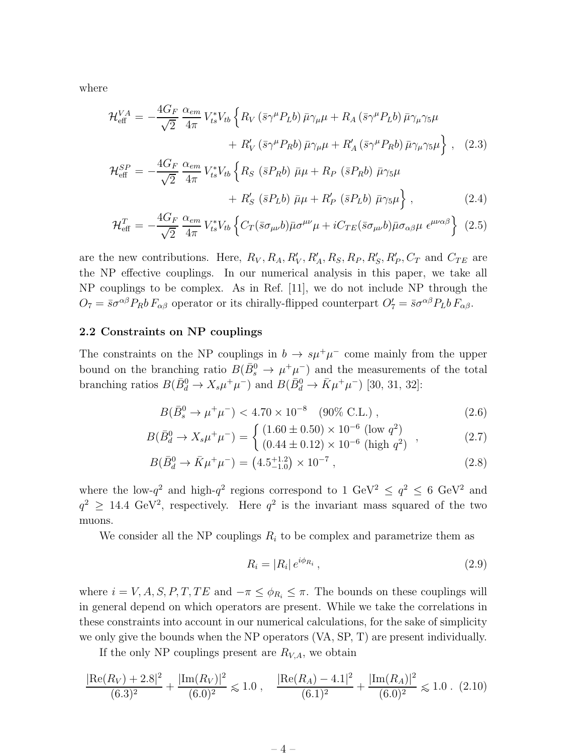where

$$
\mathcal{H}_{\text{eff}}^{VA} = -\frac{4G_F}{\sqrt{2}} \frac{\alpha_{em}}{4\pi} V_{ts}^* V_{tb} \left\{ R_V \left( \bar{s} \gamma^\mu P_L b \right) \bar{\mu} \gamma_\mu \mu + R_A \left( \bar{s} \gamma^\mu P_L b \right) \bar{\mu} \gamma_\mu \gamma_5 \mu \right. \\ \left. + R_V' \left( \bar{s} \gamma^\mu P_R b \right) \bar{\mu} \gamma_\mu \mu + R_A' \left( \bar{s} \gamma^\mu P_R b \right) \bar{\mu} \gamma_\mu \gamma_5 \mu \right\} \,, \tag{2.3}
$$

$$
\mathcal{H}_{\text{eff}}^{SP} = -\frac{4G_F}{\sqrt{2}} \frac{\alpha_{em}}{4\pi} V_{ts}^* V_{tb} \left\{ R_S \left( \bar{s} P_R b \right) \bar{\mu} \mu + R_P \left( \bar{s} P_R b \right) \bar{\mu} \gamma_5 \mu \right. \\ \left. + R_S' \left( \bar{s} P_L b \right) \bar{\mu} \mu + R_P' \left( \bar{s} P_L b \right) \bar{\mu} \gamma_5 \mu \right\}, \tag{2.4}
$$

$$
\mathcal{H}_{\text{eff}}^{T} = -\frac{4G_{F}}{\sqrt{2}} \frac{\alpha_{em}}{4\pi} V_{ts}^{*} V_{tb} \left\{ C_{T} (\bar{s}\sigma_{\mu\nu}b) \bar{\mu}\sigma^{\mu\nu}\mu + iC_{TE} (\bar{s}\sigma_{\mu\nu}b) \bar{\mu}\sigma_{\alpha\beta}\mu \epsilon^{\mu\nu\alpha\beta} \right\} (2.5)
$$

are the new contributions. Here,  $R_V, R_A, R'_V, R'_A, R_S, R_P, R'_S, R'_P, C_T$  and  $C_{TE}$  are the NP effective couplings. In our numerical analysis in this paper, we take all NP couplings to be complex. As in Ref. [11], we do not include NP through the  $O_7 = \bar{s}\sigma^{\alpha\beta}P_Rb F_{\alpha\beta}$  operator or its chirally-flipped counterpart  $O'_7 = \bar{s}\sigma^{\alpha\beta}P_Lb F_{\alpha\beta}$ .

#### 2.2 Constraints on NP couplings

The constraints on the NP couplings in  $b \to s\mu^+\mu^-$  come mainly from the upper bound on the branching ratio  $B(\bar{B}^0_s \to \mu^+\mu^-)$  and the measurements of the total branching ratios  $B(\bar{B}_{d}^{0} \to X_{s}\mu^{+}\mu^{-})$  and  $B(\bar{B}_{d}^{0} \to \bar{K}\mu^{+}\mu^{-})$  [30, 31, 32]:

$$
B(\bar{B}_s^0 \to \mu^+ \mu^-) < 4.70 \times 10^{-8} \quad (90\% \text{ C.L.}), \tag{2.6}
$$

$$
B(\bar{B}_d^0 \to X_s \mu^+ \mu^-) = \begin{cases} (1.60 \pm 0.50) \times 10^{-6} \text{ (low } q^2) \\ (0.44 \pm 0.12) \times 10^{-6} \text{ (high } q^2) \end{cases}, \tag{2.7}
$$

$$
B(\bar{B}_d^0 \to \bar{K}\mu^+\mu^-) = (4.5^{+1.2}_{-1.0}) \times 10^{-7} , \qquad (2.8)
$$

where the low- $q^2$  and high- $q^2$  regions correspond to 1  $\text{GeV}^2 \le q^2 \le 6 \text{ GeV}^2$  and  $q^2 \geq 14.4 \text{ GeV}^2$ , respectively. Here  $q^2$  is the invariant mass squared of the two muons.

We consider all the NP couplings  $R_i$  to be complex and parametrize them as

$$
R_i = |R_i| e^{i\phi_{R_i}}, \qquad (2.9)
$$

where  $i = V, A, S, P, T, TE$  and  $-\pi \leq \phi_{R_i} \leq \pi$ . The bounds on these couplings will in general depend on which operators are present. While we take the correlations in these constraints into account in our numerical calculations, for the sake of simplicity we only give the bounds when the NP operators (VA, SP, T) are present individually.

If the only NP couplings present are  $R_{V,A}$ , we obtain

$$
\frac{|\text{Re}(R_V) + 2.8|^2}{(6.3)^2} + \frac{|\text{Im}(R_V)|^2}{(6.0)^2} \le 1.0 \,, \quad \frac{|\text{Re}(R_A) - 4.1|^2}{(6.1)^2} + \frac{|\text{Im}(R_A)|^2}{(6.0)^2} \le 1.0 \,. \tag{2.10}
$$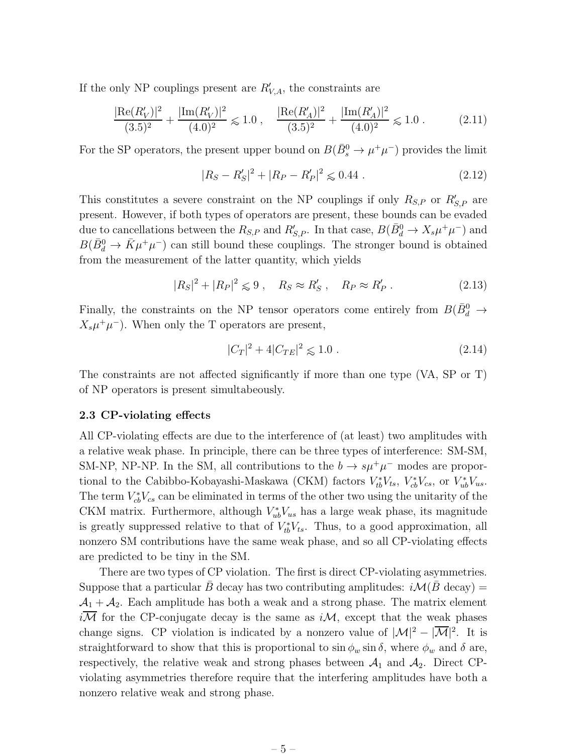If the only NP couplings present are  $R'_{V,A}$ , the constraints are

$$
\frac{|\text{Re}(R'_V)|^2}{(3.5)^2} + \frac{|\text{Im}(R'_V)|^2}{(4.0)^2} \le 1.0 \;, \quad \frac{|\text{Re}(R'_A)|^2}{(3.5)^2} + \frac{|\text{Im}(R'_A)|^2}{(4.0)^2} \le 1.0 \; . \tag{2.11}
$$

For the SP operators, the present upper bound on  $B(\bar{B}^0_s \to \mu^+\mu^-)$  provides the limit

$$
|R_S - R'_S|^2 + |R_P - R'_P|^2 \leqslant 0.44 \ . \tag{2.12}
$$

This constitutes a severe constraint on the NP couplings if only  $R_{S,P}$  or  $R'_{S,P}$  are present. However, if both types of operators are present, these bounds can be evaded due to cancellations between the  $R_{S,P}$  and  $R'_{S,P}$ . In that case,  $B(\bar{B}_{d}^{0} \to X_{s}\mu^{+}\mu^{-})$  and  $B(\bar{B}_d^0 \to \bar{K}\mu^+\mu^-)$  can still bound these couplings. The stronger bound is obtained from the measurement of the latter quantity, which yields

$$
|R_S|^2 + |R_P|^2 \leq 9 \,, \quad R_S \approx R'_S \,, \quad R_P \approx R'_P \,. \tag{2.13}
$$

Finally, the constraints on the NP tensor operators come entirely from  $B(\bar{B}^0_d \rightarrow$  $X_s \mu^+ \mu^-$ ). When only the T operators are present,

$$
|C_T|^2 + 4|C_{TE}|^2 \le 1.0 \tag{2.14}
$$

The constraints are not affected significantly if more than one type (VA, SP or T) of NP operators is present simultabeously.

#### 2.3 CP-violating effects

All CP-violating effects are due to the interference of (at least) two amplitudes with a relative weak phase. In principle, there can be three types of interference: SM-SM, SM-NP, NP-NP. In the SM, all contributions to the  $b \to s\mu^+\mu^-$  modes are proportional to the Cabibbo-Kobayashi-Maskawa (CKM) factors  $V_{tb}^*V_{ts}$ ,  $V_{cb}^*V_{cs}$ , or  $V_{ub}^*V_{us}$ . The term  $V_{cb}^*V_{cs}$  can be eliminated in terms of the other two using the unitarity of the CKM matrix. Furthermore, although  $V_{ub}^*V_{us}$  has a large weak phase, its magnitude is greatly suppressed relative to that of  $V_{tb}^*V_{ts}$ . Thus, to a good approximation, all nonzero SM contributions have the same weak phase, and so all CP-violating effects are predicted to be tiny in the SM.

There are two types of CP violation. The first is direct CP-violating asymmetries. Suppose that a particular B decay has two contributing amplitudes:  $i\mathcal{M}(B \text{ decay}) =$  $A_1 + A_2$ . Each amplitude has both a weak and a strong phase. The matrix element  $i$ *M* for the CP-conjugate decay is the same as  $i$ *M*, except that the weak phases change signs. CP violation is indicated by a nonzero value of  $|\mathcal{M}|^2 - |\overline{\mathcal{M}}|^2$ . It is straightforward to show that this is proportional to  $\sin \phi_w \sin \delta$ , where  $\phi_w$  and  $\delta$  are, respectively, the relative weak and strong phases between  $A_1$  and  $A_2$ . Direct CPviolating asymmetries therefore require that the interfering amplitudes have both a nonzero relative weak and strong phase.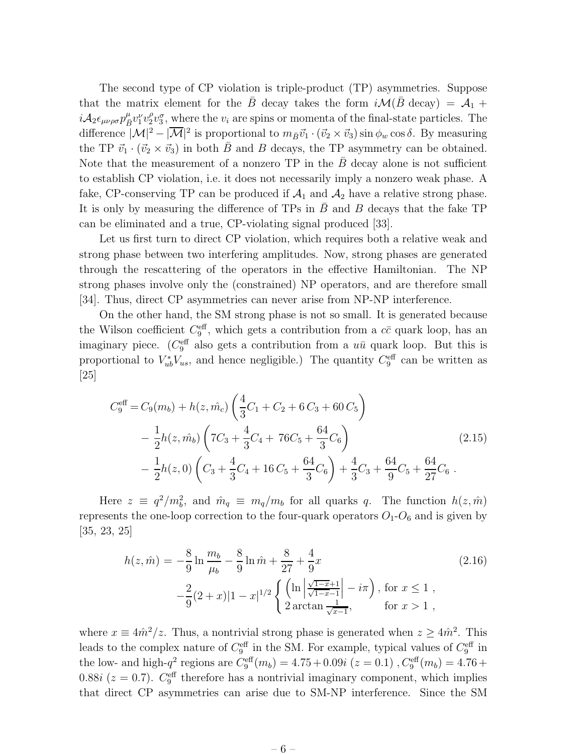The second type of CP violation is triple-product (TP) asymmetries. Suppose that the matrix element for the  $\bar{B}$  decay takes the form  $i\mathcal{M}(\bar{B} \text{ decay}) = \mathcal{A}_1 +$  $i{\cal A}_2\epsilon_{\mu\nu\rho\sigma}p_{\bar{B}}^{\mu}v_1^{\nu}v_2^{\rho}$  $2v_3^{\sigma}$ , where the  $v_i$  are spins or momenta of the final-state particles. The difference  $|\mathcal{M}|^2 - |\overline{\mathcal{M}}|^2$  is proportional to  $m_{\bar{B}}\vec{v}_1 \cdot (\vec{v}_2 \times \vec{v}_3) \sin \phi_w \cos \delta$ . By measuring the TP  $\vec{v}_1 \cdot (\vec{v}_2 \times \vec{v}_3)$  in both B and B decays, the TP asymmetry can be obtained. Note that the measurement of a nonzero  $TP$  in the  $B$  decay alone is not sufficient to establish CP violation, i.e. it does not necessarily imply a nonzero weak phase. A fake, CP-conserving TP can be produced if  $A_1$  and  $A_2$  have a relative strong phase. It is only by measuring the difference of  $TPs$  in  $B$  and  $B$  decays that the fake  $TP$ can be eliminated and a true, CP-violating signal produced [33].

Let us first turn to direct CP violation, which requires both a relative weak and strong phase between two interfering amplitudes. Now, strong phases are generated through the rescattering of the operators in the effective Hamiltonian. The NP strong phases involve only the (constrained) NP operators, and are therefore small [34]. Thus, direct CP asymmetries can never arise from NP-NP interference.

On the other hand, the SM strong phase is not so small. It is generated because the Wilson coefficient  $C_9^{\text{eff}}$ , which gets a contribution from a  $c\bar{c}$  quark loop, has an imaginary piece. ( $C_9^{\text{eff}}$  also gets a contribution from a  $u\bar{u}$  quark loop. But this is proportional to  $V_{ub}^*V_{us}$ , and hence negligible.) The quantity  $C_9^{\text{eff}}$  can be written as [25]

$$
C_9^{\text{eff}} = C_9(m_b) + h(z, \hat{m}_c) \left(\frac{4}{3}C_1 + C_2 + 6C_3 + 60C_5\right)
$$
  
 
$$
- \frac{1}{2}h(z, \hat{m}_b) \left(7C_3 + \frac{4}{3}C_4 + 76C_5 + \frac{64}{3}C_6\right)
$$
  
 
$$
- \frac{1}{2}h(z, 0) \left(C_3 + \frac{4}{3}C_4 + 16C_5 + \frac{64}{3}C_6\right) + \frac{4}{3}C_3 + \frac{64}{9}C_5 + \frac{64}{27}C_6.
$$
 (2.15)

Here  $z \equiv q^2/m_b^2$ , and  $\hat{m}_q \equiv m_q/m_b$  for all quarks q. The function  $h(z, \hat{m})$ represents the one-loop correction to the four-quark operators  $O_1-O_6$  and is given by [35, 23, 25]

$$
h(z, \hat{m}) = -\frac{8}{9} \ln \frac{m_b}{\mu_b} - \frac{8}{9} \ln \hat{m} + \frac{8}{27} + \frac{4}{9} x
$$
  

$$
-\frac{2}{9} (2+x) |1-x|^{1/2} \left\{ \left( \ln \left| \frac{\sqrt{1-x}+1}{\sqrt{1-x}-1} \right| - i\pi \right), \text{ for } x \le 1 ,\right. \\ 2 \arctan \frac{1}{\sqrt{x-1}}, \quad \text{ for } x > 1 ,
$$

where  $x \equiv 4\hat{m}^2/z$ . Thus, a nontrivial strong phase is generated when  $z \ge 4\hat{m}^2$ . This leads to the complex nature of  $C_9^{\text{eff}}$  in the SM. For example, typical values of  $C_9^{\text{eff}}$  in the low- and high- $q^2$  regions are  $C_9^{\text{eff}}(m_b) = 4.75 + 0.09i (z = 0.1)$ ,  $C_9^{\text{eff}}(m_b) = 4.76 +$ 0.88*i* ( $z = 0.7$ ).  $C_9^{\text{eff}}$  therefore has a nontrivial imaginary component, which implies that direct CP asymmetries can arise due to SM-NP interference. Since the SM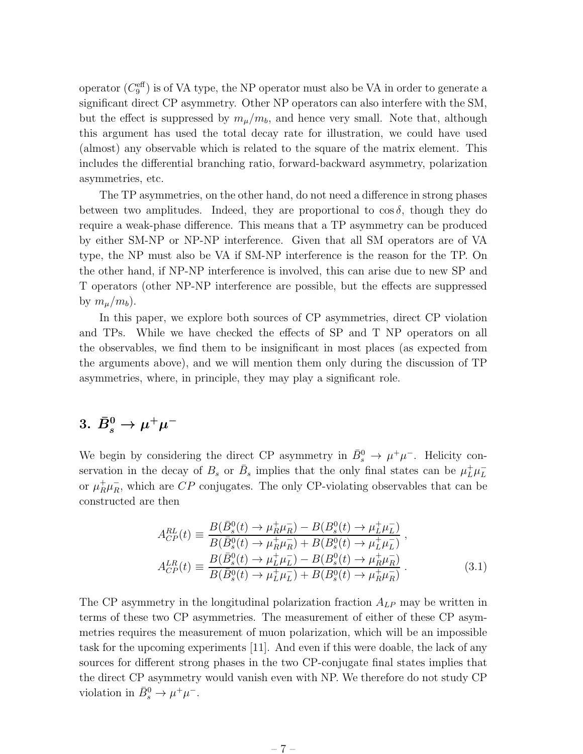operator  $(C_9^{\text{eff}})$  is of VA type, the NP operator must also be VA in order to generate a significant direct CP asymmetry. Other NP operators can also interfere with the SM, but the effect is suppressed by  $m_{\mu}/m_b$ , and hence very small. Note that, although this argument has used the total decay rate for illustration, we could have used (almost) any observable which is related to the square of the matrix element. This includes the differential branching ratio, forward-backward asymmetry, polarization asymmetries, etc.

The TP asymmetries, on the other hand, do not need a difference in strong phases between two amplitudes. Indeed, they are proportional to  $\cos \delta$ , though they do require a weak-phase difference. This means that a TP asymmetry can be produced by either SM-NP or NP-NP interference. Given that all SM operators are of VA type, the NP must also be VA if SM-NP interference is the reason for the TP. On the other hand, if NP-NP interference is involved, this can arise due to new SP and T operators (other NP-NP interference are possible, but the effects are suppressed by  $m_\mu/m_b$ ).

In this paper, we explore both sources of CP asymmetries, direct CP violation and TPs. While we have checked the effects of SP and T NP operators on all the observables, we find them to be insignificant in most places (as expected from the arguments above), and we will mention them only during the discussion of TP asymmetries, where, in principle, they may play a significant role.

## $3. \,\, \bar{B}^0_s \rightarrow \mu^+\mu^-$

We begin by considering the direct CP asymmetry in  $\bar{B}_s^0 \to \mu^+ \mu^-$ . Helicity conservation in the decay of  $B_s$  or  $\bar{B}_s$  implies that the only final states can be  $\mu_L^+ \mu_L^$ or  $\mu_R^+ \mu_R^-$ , which are CP conjugates. The only CP-violating observables that can be constructed are then

$$
A_{CP}^{RL}(t) \equiv \frac{B(\bar{B}_s^0(t) \to \mu_R^+ \mu_R^-) - B(B_s^0(t) \to \mu_L^+ \mu_L^-)}{B(\bar{B}_s^0(t) \to \mu_R^+ \mu_R^-) + B(B_s^0(t) \to \mu_L^+ \mu_L^-)} ,
$$
  
\n
$$
A_{CP}^{LR}(t) \equiv \frac{B(\bar{B}_s^0(t) \to \mu_L^+ \mu_L^-) - B(B_s^0(t) \to \mu_R^+ \mu_R^-)}{B(\bar{B}_s^0(t) \to \mu_L^+ \mu_L^-) + B(B_s^0(t) \to \mu_R^+ \mu_R^-)} .
$$
\n(3.1)

The CP asymmetry in the longitudinal polarization fraction  $A_{LP}$  may be written in terms of these two CP asymmetries. The measurement of either of these CP asymmetries requires the measurement of muon polarization, which will be an impossible task for the upcoming experiments [11]. And even if this were doable, the lack of any sources for different strong phases in the two CP-conjugate final states implies that the direct CP asymmetry would vanish even with NP. We therefore do not study CP violation in  $\bar{B}_s^0 \to \mu^+ \mu^-$ .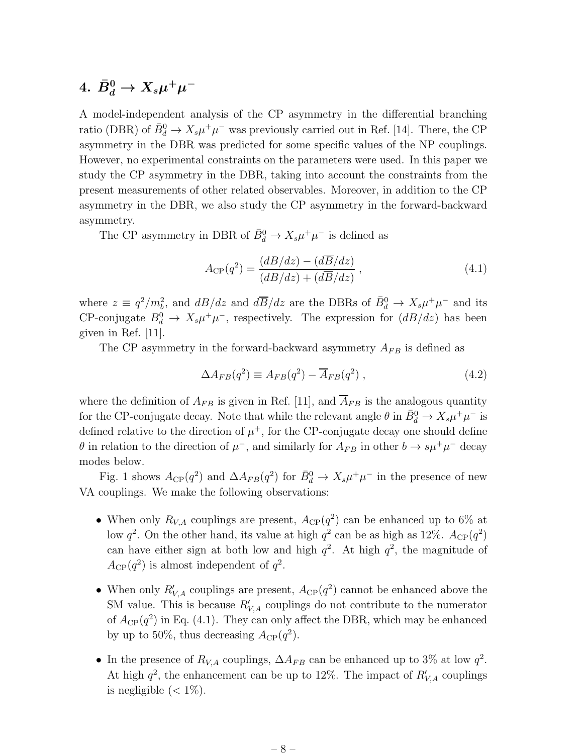## $4. \,\, \bar{B}^0_d \rightarrow X_s \mu^+ \mu^-$

A model-independent analysis of the CP asymmetry in the differential branching ratio (DBR) of  $\bar{B}_d^0 \to X_s \mu^+ \mu^-$  was previously carried out in Ref. [14]. There, the CP asymmetry in the DBR was predicted for some specific values of the NP couplings. However, no experimental constraints on the parameters were used. In this paper we study the CP asymmetry in the DBR, taking into account the constraints from the present measurements of other related observables. Moreover, in addition to the CP asymmetry in the DBR, we also study the CP asymmetry in the forward-backward asymmetry.

The CP asymmetry in DBR of  $\bar{B}_d^0 \to X_s \mu^+ \mu^-$  is defined as

$$
A_{\rm CP}(q^2) = \frac{(dB/dz) - (d\overline{B}/dz)}{(dB/dz) + (d\overline{B}/dz)},
$$
\n(4.1)

where  $z \equiv q^2/m_b^2$ , and  $dB/dz$  and  $d\overline{B}/dz$  are the DBRs of  $\overline{B}_d^0 \to X_s \mu^+ \mu^-$  and its CP-conjugate  $B_d^0 \to X_s \mu^+ \mu^-$ , respectively. The expression for  $\left( \frac{dB}{dz} \right)$  has been given in Ref. [11].

The CP asymmetry in the forward-backward asymmetry  $A_{FB}$  is defined as

$$
\Delta A_{FB}(q^2) \equiv A_{FB}(q^2) - \overline{A}_{FB}(q^2) , \qquad (4.2)
$$

where the definition of  $A_{FB}$  is given in Ref. [11], and  $\overline{A}_{FB}$  is the analogous quantity for the CP-conjugate decay. Note that while the relevant angle  $\theta$  in  $\bar{B}_d^0 \to X_s \mu^+ \mu^-$  is defined relative to the direction of  $\mu^+$ , for the CP-conjugate decay one should define  $\theta$  in relation to the direction of  $\mu^-$ , and similarly for  $A_{FB}$  in other  $b \to s\mu^+\mu^-$  decay modes below.

Fig. 1 shows  $A_{\rm CP}(q^2)$  and  $\Delta A_{FB}(q^2)$  for  $\bar{B}_d^0 \to X_s \mu^+ \mu^-$  in the presence of new VA couplings. We make the following observations:

- When only  $R_{V,A}$  couplings are present,  $A_{\text{CP}}(q^2)$  can be enhanced up to 6% at low  $q^2$ . On the other hand, its value at high  $q^2$  can be as high as 12%.  $A_{\rm CP}(q^2)$ can have either sign at both low and high  $q^2$ . At high  $q^2$ , the magnitude of  $A_{\rm CP}(q^2)$  is almost independent of  $q^2$ .
- When only  $R'_{V,A}$  couplings are present,  $A_{\text{CP}}(q^2)$  cannot be enhanced above the SM value. This is because  $R'_{V,A}$  couplings do not contribute to the numerator of  $A_{\rm CP}(q^2)$  in Eq. (4.1). They can only affect the DBR, which may be enhanced by up to 50%, thus decreasing  $A_{\text{CP}}(q^2)$ .
- In the presence of  $R_{V,A}$  couplings,  $\Delta A_{FB}$  can be enhanced up to 3% at low  $q^2$ . At high  $q^2$ , the enhancement can be up to 12%. The impact of  $R'_{V,A}$  couplings is negligible  $(< 1\%)$ .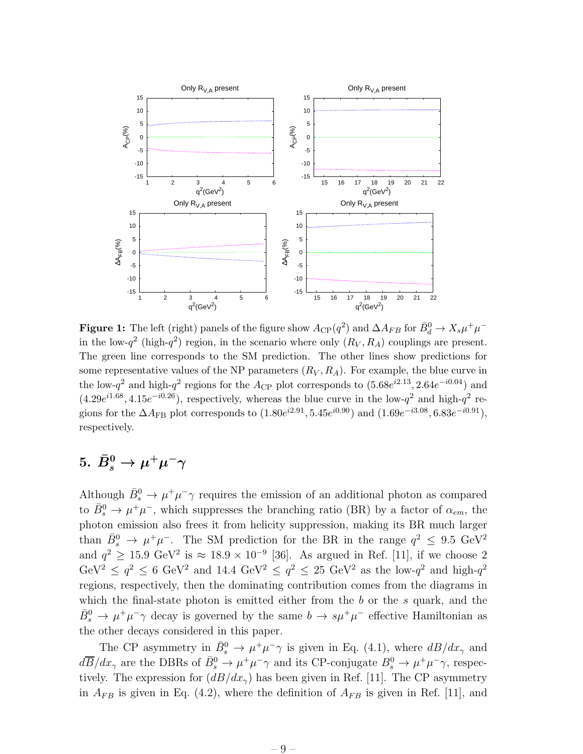

**Figure 1:** The left (right) panels of the figure show  $A_{\rm CP}(q^2)$  and  $\Delta A_{FB}$  for  $\bar{B}_d^0 \to X_s \mu^+ \mu^$ in the low- $q^2$  (high- $q^2$ ) region, in the scenario where only  $(R_V, R_A)$  couplings are present. The green line corresponds to the SM prediction. The other lines show predictions for some representative values of the NP parameters  $(R_V, R_A)$ . For example, the blue curve in the low- $q^2$  and high- $q^2$  regions for the  $A_{\rm CP}$  plot corresponds to  $(5.68e^{i2.13}, 2.64e^{-i0.04})$  and  $(4.29e^{i1.68}, 4.15e^{-i0.26})$ , respectively, whereas the blue curve in the low- $q^2$  and high- $q^2$  regions for the  $\Delta A_{\rm FB}$  plot corresponds to  $(1.80e^{i2.91}, 5.45e^{i0.90})$  and  $(1.69e^{-i3.08}, 6.83e^{-i0.91})$ , respectively.

## $5. \,\, \bar{B}^0_s \rightarrow \mu^+ \mu^- \gamma$

Although  $\bar{B}_s^0 \to \mu^+ \mu^- \gamma$  requires the emission of an additional photon as compared to  $\bar{B}_s^0 \to \mu^+\mu^-$ , which suppresses the branching ratio (BR) by a factor of  $\alpha_{em}$ , the photon emission also frees it from helicity suppression, making its BR much larger than  $\bar{B}_s^0 \to \mu^+ \mu^-$ . The SM prediction for the BR in the range  $q^2 \leq 9.5 \text{ GeV}^2$ and  $q^2 \ge 15.9 \text{ GeV}^2$  is  $\approx 18.9 \times 10^{-9}$  [36]. As argued in Ref. [11], if we choose 2 GeV<sup>2</sup>  $\leq q^2 \leq 6$  GeV<sup>2</sup> and 14.4 GeV<sup>2</sup>  $\leq q^2 \leq 25$  GeV<sup>2</sup> as the low- $q^2$  and high- $q^2$ regions, respectively, then the dominating contribution comes from the diagrams in which the final-state photon is emitted either from the  $b$  or the  $s$  quark, and the  $\bar{B}_s^0 \to \mu^+ \mu^- \gamma$  decay is governed by the same  $b \to s \mu^+ \mu^-$  effective Hamiltonian as the other decays considered in this paper.

The CP asymmetry in  $\bar{B}^0_s \to \mu^+\mu^-\gamma$  is given in Eq. (4.1), where  $dB/dx_\gamma$  and  $d\overline{B}/dx_{\gamma}$  are the DBRs of  $\bar{B}^0_s \to \mu^+\mu^-\gamma$  and its CP-conjugate  $B^0_s \to \mu^+\mu^-\gamma$ , respectively. The expression for  $\left(\frac{dB}{dx_{\gamma}}\right)$  has been given in Ref. [11]. The CP asymmetry in  $A_{FB}$  is given in Eq. (4.2), where the definition of  $A_{FB}$  is given in Ref. [11], and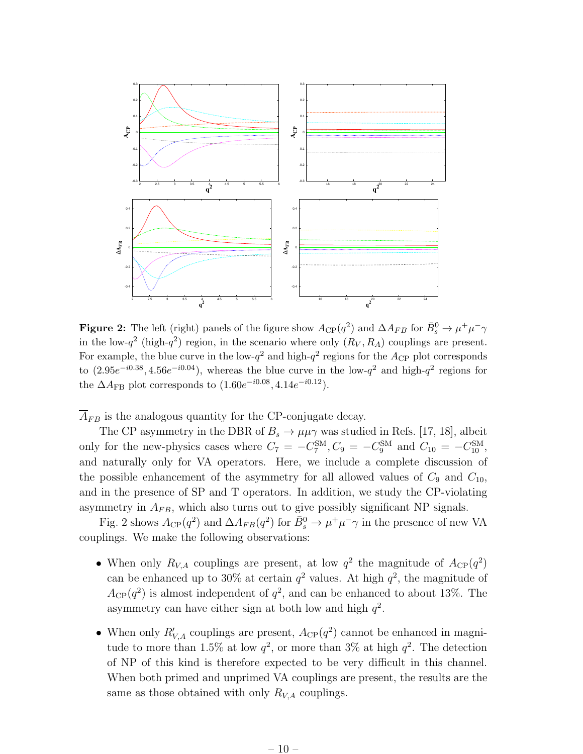

**Figure 2:** The left (right) panels of the figure show  $A_{\rm CP}(q^2)$  and  $\Delta A_{FB}$  for  $\bar{B}^0_s \to \mu^+\mu^-\gamma$ in the low- $q^2$  (high- $q^2$ ) region, in the scenario where only  $(R_V, R_A)$  couplings are present. For example, the blue curve in the low- $q^2$  and high- $q^2$  regions for the  $A_{\rm CP}$  plot corresponds to  $(2.95e^{-i0.38}, 4.56e^{-i0.04})$ , whereas the blue curve in the low- $q^2$  and high- $q^2$  regions for the  $\Delta A_{\rm FB}$  plot corresponds to  $(1.60e^{-i0.08}, 4.14e^{-i0.12}).$ 

 $\overline{A}_{FB}$  is the analogous quantity for the CP-conjugate decay.

The CP asymmetry in the DBR of  $B_s \to \mu\mu\gamma$  was studied in Refs. [17, 18], albeit only for the new-physics cases where  $C_7 = -C_7^{\text{SM}}, C_9 = -C_9^{\text{SM}}$  and  $C_{10} = -C_{10}^{\text{SM}},$ and naturally only for VA operators. Here, we include a complete discussion of the possible enhancement of the asymmetry for all allowed values of  $C_9$  and  $C_{10}$ , and in the presence of SP and T operators. In addition, we study the CP-violating asymmetry in  $A_{FB}$ , which also turns out to give possibly significant NP signals.

Fig. 2 shows  $A_{\rm CP}(q^2)$  and  $\Delta A_{FB}(q^2)$  for  $\bar{B}^0_s \to \mu^+ \mu^- \gamma$  in the presence of new VA couplings. We make the following observations:

- When only  $R_{V,A}$  couplings are present, at low  $q^2$  the magnitude of  $A_{\text{CP}}(q^2)$ can be enhanced up to 30% at certain  $q^2$  values. At high  $q^2$ , the magnitude of  $A_{\rm CP}(q^2)$  is almost independent of  $q^2$ , and can be enhanced to about 13%. The asymmetry can have either sign at both low and high  $q^2$ .
- When only  $R'_{V,A}$  couplings are present,  $A_{\text{CP}}(q^2)$  cannot be enhanced in magnitude to more than 1.5% at low  $q^2$ , or more than 3% at high  $q^2$ . The detection of NP of this kind is therefore expected to be very difficult in this channel. When both primed and unprimed VA couplings are present, the results are the same as those obtained with only  $R_{V,A}$  couplings.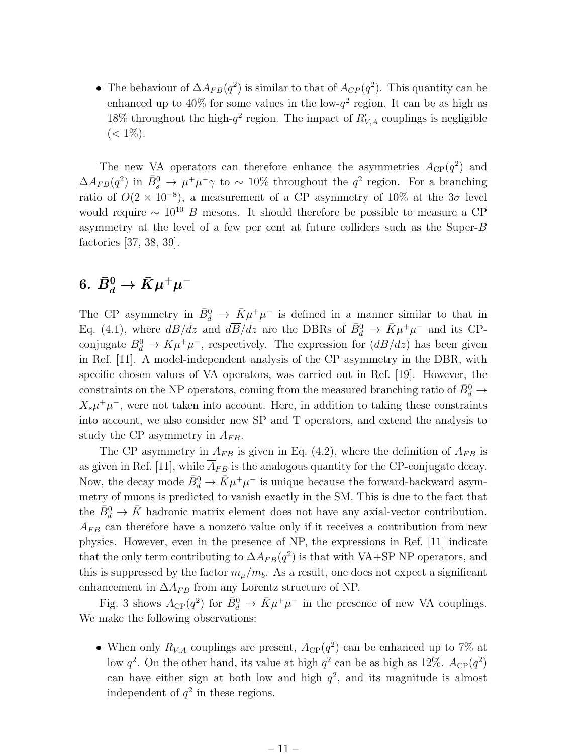• The behaviour of  $\Delta A_{FB}(q^2)$  is similar to that of  $A_{CP}(q^2)$ . This quantity can be enhanced up to  $40\%$  for some values in the low- $q^2$  region. It can be as high as 18% throughout the high- $q^2$  region. The impact of  $R'_{V,A}$  couplings is negligible  $(< 1\%).$ 

The new VA operators can therefore enhance the asymmetries  $A_{\rm CP}(q^2)$  and  $\Delta A_{FB}(q^2)$  in  $\bar{B}^0_s \to \mu^+ \mu^- \gamma$  to ~ 10% throughout the  $q^2$  region. For a branching ratio of  $O(2 \times 10^{-8})$ , a measurement of a CP asymmetry of 10% at the 3 $\sigma$  level would require  $\sim 10^{10}$  B mesons. It should therefore be possible to measure a CP asymmetry at the level of a few per cent at future colliders such as the Super-B factories [37, 38, 39].

## $6. \ \bar{B}^0_d \rightarrow \bar{K} \mu^+ \mu^-$

The CP asymmetry in  $\bar{B}^0_d \to \bar{K} \mu^+ \mu^-$  is defined in a manner similar to that in Eq. (4.1), where  $dB/dz$  and  $d\overline{B}/dz$  are the DBRs of  $\overline{B}^0_d \to \overline{K}\mu^+\mu^-$  and its CPconjugate  $B_d^0 \to K \mu^+ \mu^-$ , respectively. The expression for  $(dB/dz)$  has been given in Ref. [11]. A model-independent analysis of the CP asymmetry in the DBR, with specific chosen values of VA operators, was carried out in Ref. [19]. However, the constraints on the NP operators, coming from the measured branching ratio of  $\bar{B}^0_d \rightarrow$  $X_s\mu^+\mu^-$ , were not taken into account. Here, in addition to taking these constraints into account, we also consider new SP and T operators, and extend the analysis to study the CP asymmetry in  $A_{FB}$ .

The CP asymmetry in  $A_{FB}$  is given in Eq. (4.2), where the definition of  $A_{FB}$  is as given in Ref. [11], while  $\overline{A}_{FB}$  is the analogous quantity for the CP-conjugate decay. Now, the decay mode  $\bar{B}_d^0 \to \bar{K} \mu^+ \mu^-$  is unique because the forward-backward asymmetry of muons is predicted to vanish exactly in the SM. This is due to the fact that the  $\bar{B}_d^0 \to \bar{K}$  hadronic matrix element does not have any axial-vector contribution.  $A_{FB}$  can therefore have a nonzero value only if it receives a contribution from new physics. However, even in the presence of NP, the expressions in Ref. [11] indicate that the only term contributing to  $\Delta A_{FB}(q^2)$  is that with VA+SP NP operators, and this is suppressed by the factor  $m_{\mu}/m_b$ . As a result, one does not expect a significant enhancement in  $\Delta A_{FB}$  from any Lorentz structure of NP.

Fig. 3 shows  $A_{\text{CP}}(q^2)$  for  $\bar{B}_d^0 \to \bar{K} \mu^+ \mu^-$  in the presence of new VA couplings. We make the following observations:

• When only  $R_{V,A}$  couplings are present,  $A_{\text{CP}}(q^2)$  can be enhanced up to 7% at low  $q^2$ . On the other hand, its value at high  $q^2$  can be as high as 12%.  $A_{\rm CP}(q^2)$ can have either sign at both low and high  $q^2$ , and its magnitude is almost independent of  $q^2$  in these regions.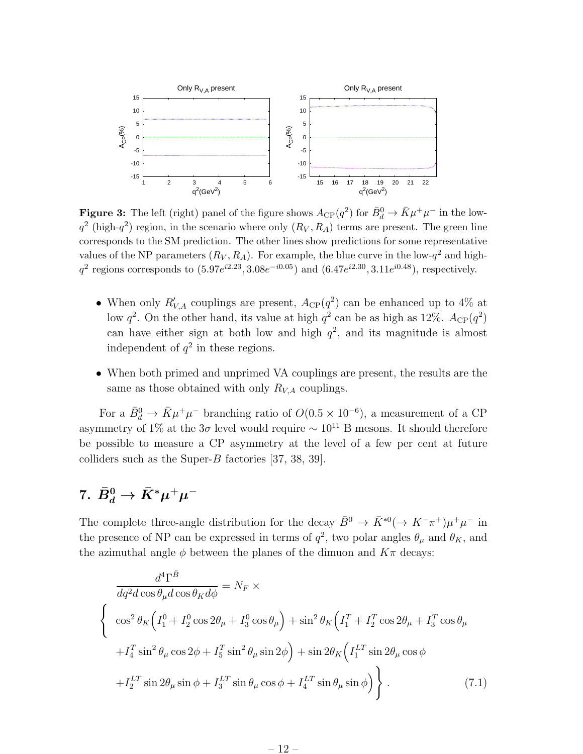

**Figure 3:** The left (right) panel of the figure shows  $A_{\text{CP}}(q^2)$  for  $\bar{B}_d^0 \to \bar{K} \mu^+ \mu^-$  in the low $q^2$  (high- $q^2$ ) region, in the scenario where only  $(R_V, R_A)$  terms are present. The green line corresponds to the SM prediction. The other lines show predictions for some representative values of the NP parameters  $(R_V, R_A)$ . For example, the blue curve in the low- $q^2$  and high $q^2$  regions corresponds to  $(5.97e^{i2.23}, 3.08e^{-i0.05})$  and  $(6.47e^{i2.30}, 3.11e^{i0.48})$ , respectively.

- When only  $R'_{V,A}$  couplings are present,  $A_{\text{CP}}(q^2)$  can be enhanced up to 4% at low  $q^2$ . On the other hand, its value at high  $q^2$  can be as high as 12%.  $A_{\rm CP}(q^2)$ can have either sign at both low and high  $q^2$ , and its magnitude is almost independent of  $q^2$  in these regions.
- When both primed and unprimed VA couplings are present, the results are the same as those obtained with only  $R_{V,A}$  couplings.

For a  $\bar{B}_d^0 \to \bar{K} \mu^+ \mu^-$  branching ratio of  $O(0.5 \times 10^{-6})$ , a measurement of a CP asymmetry of 1% at the  $3\sigma$  level would require  $\sim 10^{11}$  B mesons. It should therefore be possible to measure a CP asymmetry at the level of a few per cent at future colliders such as the Super-B factories  $[37, 38, 39]$ .

## 7.  $\bar{B}^0_d \to \bar{K}^* \mu^+ \mu^-$

The complete three-angle distribution for the decay  $\bar{B}^0 \to \bar{K}^{*0} (\to K^- \pi^+) \mu^+ \mu^-$  in the presence of NP can be expressed in terms of  $q^2$ , two polar angles  $\theta_\mu$  and  $\theta_K$ , and the azimuthal angle  $\phi$  between the planes of the dimuon and  $K\pi$  decays:

$$
\frac{d^4\Gamma^{\bar{B}}}{dq^2d\cos\theta_{\mu}d\cos\theta_{K}d\phi} = N_F \times
$$
\n
$$
\begin{cases}\n\cos^2\theta_K \Big(I_1^0 + I_2^0\cos 2\theta_{\mu} + I_3^0\cos\theta_{\mu}\Big) + \sin^2\theta_K \Big(I_1^T + I_2^T\cos 2\theta_{\mu} + I_3^T\cos\theta_{\mu} + I_4^T\sin^2\theta_{\mu}\cos 2\phi + I_5^T\sin^2\theta_{\mu}\sin 2\phi\Big) + \sin 2\theta_K \Big(I_1^{LT}\sin 2\theta_{\mu}\cos\phi + I_2^{LT}\sin 2\theta_{\mu}\sin\phi + I_3^{LT}\sin\theta_{\mu}\cos\phi + I_4^{LT}\sin\theta_{\mu}\sin\phi\Big)\n\end{cases}
$$
\n(7.1)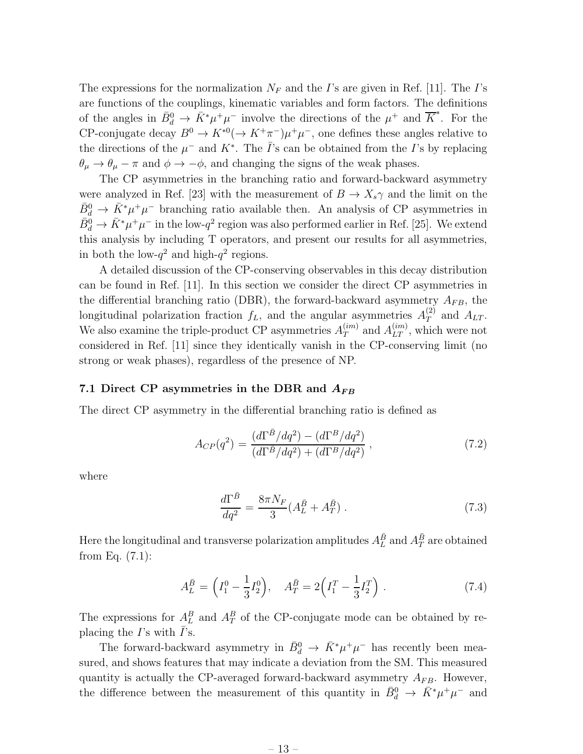The expressions for the normalization  $N_F$  and the I's are given in Ref. [11]. The I's are functions of the couplings, kinematic variables and form factors. The definitions of the angles in  $\bar{B}_d^0 \to \bar{K}^* \mu^+ \mu^-$  involve the directions of the  $\mu^+$  and  $\overline{K}^*$ . For the CP-conjugate decay  $B^0 \to K^{*0} (\to K^+\pi^-)\mu^+\mu^-$ , one defines these angles relative to the directions of the  $\mu^-$  and  $K^*$ . The  $\bar{I}$ 's can be obtained from the I's by replacing  $\theta_{\mu} \rightarrow \theta_{\mu} - \pi$  and  $\phi \rightarrow -\phi$ , and changing the signs of the weak phases.

The CP asymmetries in the branching ratio and forward-backward asymmetry were analyzed in Ref. [23] with the measurement of  $B \to X_s \gamma$  and the limit on the  $\bar{B}^0_d \to \bar{K}^* \mu^+ \mu^-$  branching ratio available then. An analysis of CP asymmetries in  $\bar{B}^0_d \to \bar{K}^* \mu^+ \mu^-$  in the low- $q^2$  region was also performed earlier in Ref. [25]. We extend this analysis by including T operators, and present our results for all asymmetries, in both the low- $q^2$  and high- $q^2$  regions.

A detailed discussion of the CP-conserving observables in this decay distribution can be found in Ref. [11]. In this section we consider the direct CP asymmetries in the differential branching ratio (DBR), the forward-backward asymmetry  $A_{FB}$ , the longitudinal polarization fraction  $f_L$ , and the angular asymmetries  $A_T^{(2)}$  $T^{(2)}$  and  $A_{LT}$ . We also examine the triple-product CP asymmetries  $A_T^{(im)}$  $T_T^{(im)}$  and  $A_{LT}^{(im)}$ , which were not considered in Ref. [11] since they identically vanish in the CP-conserving limit (no strong or weak phases), regardless of the presence of NP.

#### 7.1 Direct CP asymmetries in the DBR and  $A_{FB}$

The direct CP asymmetry in the differential branching ratio is defined as

$$
A_{CP}(q^2) = \frac{(d\Gamma^{\bar{B}}/dq^2) - (d\Gamma^B/dq^2)}{(d\Gamma^{\bar{B}}/dq^2) + (d\Gamma^B/dq^2)},
$$
\n(7.2)

where

$$
\frac{d\Gamma^{\bar{B}}}{dq^2} = \frac{8\pi N_F}{3} (A_L^{\bar{B}} + A_T^{\bar{B}}) \,. \tag{7.3}
$$

Here the longitudinal and transverse polarization amplitudes  $A_{L}^{\bar{B}}$  and  $A_{T}^{\bar{B}}$  are obtained from Eq. (7.1):

$$
A_L^{\bar{B}} = \left(I_1^0 - \frac{1}{3}I_2^0\right), \quad A_T^{\bar{B}} = 2\left(I_1^T - \frac{1}{3}I_2^T\right). \tag{7.4}
$$

The expressions for  $A_L^B$  and  $A_T^B$  of the CP-conjugate mode can be obtained by replacing the  $I$ 's with  $I$ 's.

The forward-backward asymmetry in  $\bar{B}^0_d \to \bar{K}^* \mu^+ \mu^-$  has recently been measured, and shows features that may indicate a deviation from the SM. This measured quantity is actually the CP-averaged forward-backward asymmetry  $A_{FB}$ . However, the difference between the measurement of this quantity in  $\bar{B}^0_d \to \bar{K}^* \mu^+ \mu^-$  and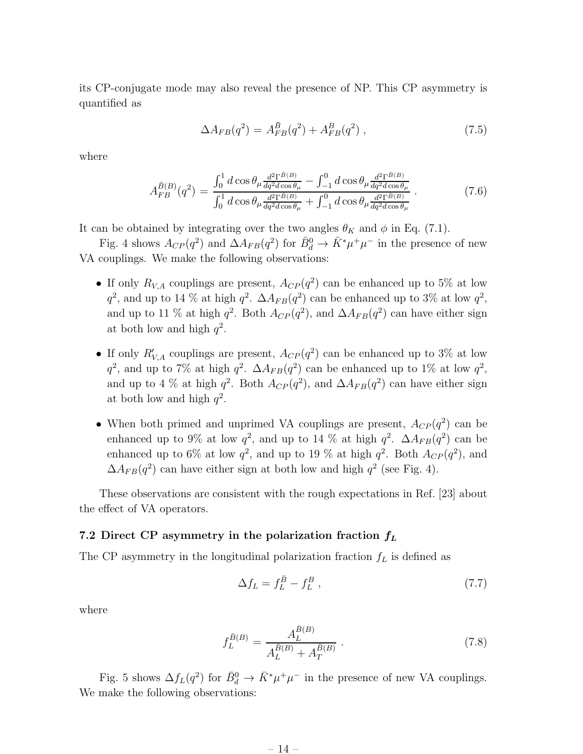its CP-conjugate mode may also reveal the presence of NP. This CP asymmetry is quantified as

$$
\Delta A_{FB}(q^2) = A_{FB}^{\bar{B}}(q^2) + A_{FB}^B(q^2) , \qquad (7.5)
$$

where

$$
A_{FB}^{\bar{B}(B)}(q^2) = \frac{\int_0^1 d\cos\theta_\mu \frac{d^2 \Gamma^{\bar{B}(B)}}{dq^2 d\cos\theta_\mu} - \int_{-1}^0 d\cos\theta_\mu \frac{d^2 \Gamma^{\bar{B}(B)}}{dq^2 d\cos\theta_\mu}}{\int_0^1 d\cos\theta_\mu \frac{d^2 \Gamma^{\bar{B}(B)}}{dq^2 d\cos\theta_\mu} + \int_{-1}^0 d\cos\theta_\mu \frac{d^2 \Gamma^{\bar{B}(B)}}{dq^2 d\cos\theta_\mu}}.
$$
(7.6)

It can be obtained by integrating over the two angles  $\theta_K$  and  $\phi$  in Eq. (7.1).

Fig. 4 shows  $A_{CP}(q^2)$  and  $\Delta A_{FB}(q^2)$  for  $\bar{B}_d^0 \to \bar{K}^* \mu^+ \mu^-$  in the presence of new VA couplings. We make the following observations:

- If only  $R_{V,A}$  couplings are present,  $A_{CP}(q^2)$  can be enhanced up to 5% at low  $q^2$ , and up to 14 % at high  $q^2$ .  $\Delta A_{FB}(q^2)$  can be enhanced up to 3% at low  $q^2$ , and up to 11 % at high  $q^2$ . Both  $A_{CP}(q^2)$ , and  $\Delta A_{FB}(q^2)$  can have either sign at both low and high  $q^2$ .
- If only  $R'_{V,A}$  couplings are present,  $A_{CP}(q^2)$  can be enhanced up to 3% at low  $q^2$ , and up to 7% at high  $q^2$ .  $\Delta A_{FB}(q^2)$  can be enhanced up to 1% at low  $q^2$ , and up to 4 % at high  $q^2$ . Both  $A_{CP}(q^2)$ , and  $\Delta A_{FB}(q^2)$  can have either sign at both low and high  $q^2$ .
- When both primed and unprimed VA couplings are present,  $A_{CP}(q^2)$  can be enhanced up to 9% at low  $q^2$ , and up to 14 % at high  $q^2$ .  $\Delta A_{FB}(q^2)$  can be enhanced up to 6% at low  $q^2$ , and up to 19 % at high  $q^2$ . Both  $A_{CP}(q^2)$ , and  $\Delta A_{FB}(q^2)$  can have either sign at both low and high  $q^2$  (see Fig. 4).

These observations are consistent with the rough expectations in Ref. [23] about the effect of VA operators.

#### 7.2 Direct CP asymmetry in the polarization fraction  $f_L$

The CP asymmetry in the longitudinal polarization fraction  $f<sub>L</sub>$  is defined as

$$
\Delta f_L = f_L^{\bar{B}} - f_L^B \,,\tag{7.7}
$$

where

$$
f_L^{\bar{B}(B)} = \frac{A_L^{\bar{B}(B)}}{A_L^{\bar{B}(B)} + A_T^{\bar{B}(B)}}.
$$
\n(7.8)

Fig. 5 shows  $\Delta f_L(q^2)$  for  $\bar{B}_d^0 \to \bar{K}^* \mu^+ \mu^-$  in the presence of new VA couplings. We make the following observations: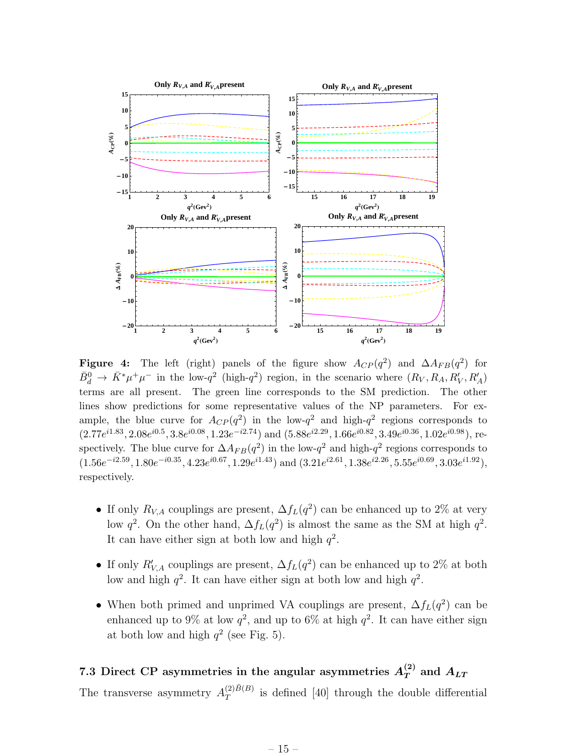

Figure 4: The left (right) panels of the figure show  $A_{CP}(q^2)$  and  $\Delta A_{FB}(q^2)$  for  $\bar{B}^0_d \to \bar{K}^* \mu^+ \mu^-$  in the low- $q^2$  (high- $q^2$ ) region, in the scenario where  $(R_V, R_A, R'_V, R'_A)$ terms are all present. The green line corresponds to the SM prediction. The other lines show predictions for some representative values of the NP parameters. For example, the blue curve for  $A_{CP}(q^2)$  in the low- $q^2$  and high- $q^2$  regions corresponds to  $(2.77e^{i1.83}, 2.08e^{i0.5}, 3.8e^{i0.08}, 1.23e^{-i2.74})$  and  $(5.88e^{i2.29}, 1.66e^{i0.82}, 3.49e^{i0.36}, 1.02e^{i0.98})$ , respectively. The blue curve for  $\Delta A_{FB}(q^2)$  in the low- $q^2$  and high- $q^2$  regions corresponds to  $(1.56e^{-i2.59}, 1.80e^{-i0.35}, 4.23e^{i0.67}, 1.29e^{i1.43})$  and  $(3.21e^{i2.61}, 1.38e^{i2.26}, 5.55e^{i0.69}, 3.03e^{i1.92}),$ respectively.

- If only  $R_{V,A}$  couplings are present,  $\Delta f_L(q^2)$  can be enhanced up to 2% at very low  $q^2$ . On the other hand,  $\Delta f_L(q^2)$  is almost the same as the SM at high  $q^2$ . It can have either sign at both low and high  $q^2$ .
- If only  $R'_{V,A}$  couplings are present,  $\Delta f_L(q^2)$  can be enhanced up to 2% at both low and high  $q^2$ . It can have either sign at both low and high  $q^2$ .
- When both primed and unprimed VA couplings are present,  $\Delta f_L(q^2)$  can be enhanced up to 9% at low  $q^2$ , and up to 6% at high  $q^2$ . It can have either sign at both low and high  $q^2$  (see Fig. 5).

### 7.3 Direct CP asymmetries in the angular asymmetries  $A_T^{(2)}$  and  $A_{LT}$

The transverse asymmetry  $A_T^{(2)\bar{B}(B)}$  $T^{(2)D(D)}$  is defined [40] through the double differential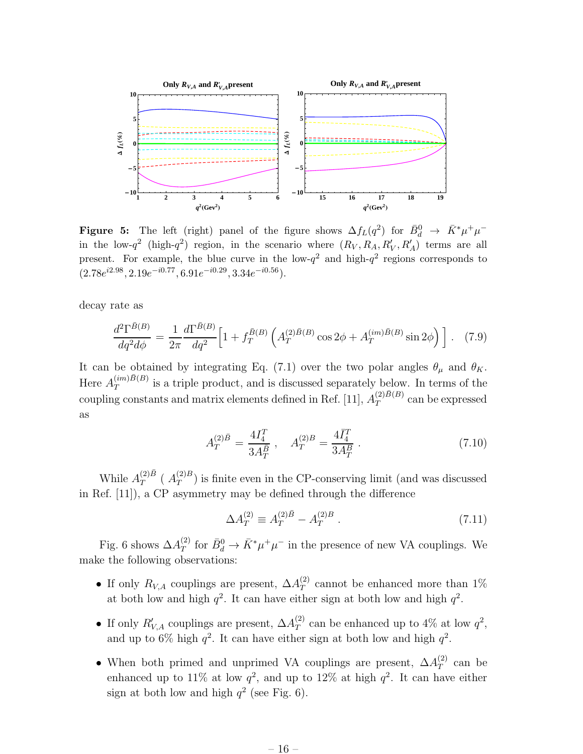

Figure 5: The left (right) panel of the figure shows  $\Delta f_L(q^2)$  for  $\bar{B}_d^0 \to \bar{K}^* \mu^+ \mu^$ in the low- $q^2$  (high- $q^2$ ) region, in the scenario where  $(R_V, R_A, R'_V, R'_A)$  terms are all present. For example, the blue curve in the low- $q^2$  and high- $q^2$  regions corresponds to  $(2.78e^{i2.98}, 2.19e^{-i0.77}, 6.91e^{-i0.29}, 3.34e^{-i0.56}).$ 

decay rate as

$$
\frac{d^2\Gamma^{\bar{B}(B)}}{dq^2d\phi} = \frac{1}{2\pi} \frac{d\Gamma^{\bar{B}(B)}}{dq^2} \left[ 1 + f_T^{\bar{B}(B)} \left( A_T^{(2)\bar{B}(B)} \cos 2\phi + A_T^{(im)\bar{B}(B)} \sin 2\phi \right) \right]. \tag{7.9}
$$

It can be obtained by integrating Eq. (7.1) over the two polar angles  $\theta_{\mu}$  and  $\theta_{K}$ . Here  $A_T^{(im)\bar{B}(B)}$  $T^{(m),b)}$  is a triple product, and is discussed separately below. In terms of the coupling constants and matrix elements defined in Ref. [11],  $A_T^{(2)\bar{B}(B)}$  $T^{(2)D(D)}$  can be expressed as

$$
A_T^{(2)\bar{B}} = \frac{4I_4^T}{3A_T^{\bar{B}}}, \quad A_T^{(2)B} = \frac{4\bar{I}_4^T}{3A_T^B} \,. \tag{7.10}
$$

While  $A_T^{(2)\bar{B}}$  $T^{(2)B}$  (  $A_T^{(2)B}$  $T^{(2)D}_{T}$ ) is finite even in the CP-conserving limit (and was discussed in Ref. [11]), a CP asymmetry may be defined through the difference

$$
\Delta A_T^{(2)} \equiv A_T^{(2)}{}^{\bar{B}} - A_T^{(2)B} \,. \tag{7.11}
$$

Fig. 6 shows  $\Delta A_T^{(2)}$  $T_T^{(2)}$  for  $\bar{B}_d^0 \to \bar{K}^* \mu^+ \mu^-$  in the presence of new VA couplings. We make the following observations:

- If only  $R_{V,A}$  couplings are present,  $\Delta A_T^{(2)}$  $T$  cannot be enhanced more than 1% at both low and high  $q^2$ . It can have either sign at both low and high  $q^2$ .
- If only  $R'_{V,A}$  couplings are present,  $\Delta A_T^{(2)}$  $T^{(2)}$  can be enhanced up to 4\% at low  $q^2$ , and up to 6% high  $q^2$ . It can have either sign at both low and high  $q^2$ .
- When both primed and unprimed VA couplings are present,  $\Delta A_T^{(2)}$  $T^{(2)}$  can be enhanced up to 11% at low  $q^2$ , and up to 12% at high  $q^2$ . It can have either sign at both low and high  $q^2$  (see Fig. 6).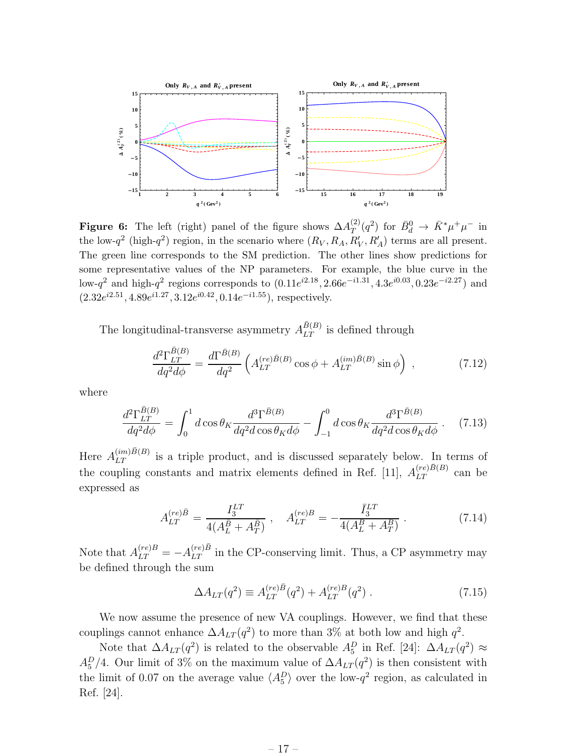

**Figure 6:** The left (right) panel of the figure shows  $\Delta A_T^{(2)}$  $T^{(2)}(q^2)$  for  $\bar{B}^0_d \to \bar{K}^* \mu^+ \mu^-$  in the low- $q^2$  (high- $q^2$ ) region, in the scenario where  $(R_V, R_A, R'_V, R'_A)$  terms are all present. The green line corresponds to the SM prediction. The other lines show predictions for some representative values of the NP parameters. For example, the blue curve in the low- $q^2$  and high- $q^2$  regions corresponds to  $(0.11e^{i2.18}, 2.66e^{-i1.31}, 4.3e^{i0.03}, 0.23e^{-i2.27})$  and  $(2.32e^{i2.51}, 4.89e^{i1.27}, 3.12e^{i0.42}, 0.14e^{-i1.55})$ , respectively.

The longitudinal-transverse asymmetry  $A_{LT}^{\bar{B}(B)}$  is defined through

$$
\frac{d^2\Gamma_{LT}^{\bar{B}(B)}}{dq^2d\phi} = \frac{d\Gamma^{\bar{B}(B)}}{dq^2} \left( A_{LT}^{(re)\bar{B}(B)}\cos\phi + A_{LT}^{(im)\bar{B}(B)}\sin\phi \right) ,\qquad (7.12)
$$

where

$$
\frac{d^2\Gamma_{LT}^{\bar{B}(B)}}{dq^2d\phi} = \int_0^1 d\cos\theta_K \frac{d^3\Gamma^{\bar{B}(B)}}{dq^2d\cos\theta_K d\phi} - \int_{-1}^0 d\cos\theta_K \frac{d^3\Gamma^{\bar{B}(B)}}{dq^2d\cos\theta_K d\phi} \,. \tag{7.13}
$$

Here  $A_{LT}^{(im)\bar{B}(B)}$  is a triple product, and is discussed separately below. In terms of the coupling constants and matrix elements defined in Ref. [11],  $A_{LT}^{(re)\bar{B}(B)}$  can be expressed as

$$
A_{LT}^{(re)\bar{B}} = \frac{I_3^{LT}}{4(A_L^{\bar{B}} + A_T^{\bar{B}})}, \quad A_{LT}^{(re)B} = -\frac{\bar{I}_3^{LT}}{4(A_L^B + A_T^B)}.
$$
(7.14)

Note that  $A_{LT}^{(re)B} = -A_{LT}^{(re)B}$  in the CP-conserving limit. Thus, a CP asymmetry may be defined through the sum

$$
\Delta A_{LT}(q^2) \equiv A_{LT}^{(re)\bar{B}}(q^2) + A_{LT}^{(re)B}(q^2) \,. \tag{7.15}
$$

We now assume the presence of new VA couplings. However, we find that these couplings cannot enhance  $\Delta A_{LT}(q^2)$  to more than 3% at both low and high  $q^2$ .

Note that  $\Delta A_{LT}(q^2)$  is related to the observable  $A_5^D$  in Ref. [24]:  $\Delta A_{LT}(q^2) \approx$  $A_5^D/4$ . Our limit of 3% on the maximum value of  $\Delta A_{LT}(q^2)$  is then consistent with the limit of 0.07 on the average value  $\langle A_5^D \rangle$  over the low- $q^2$  region, as calculated in Ref. [24].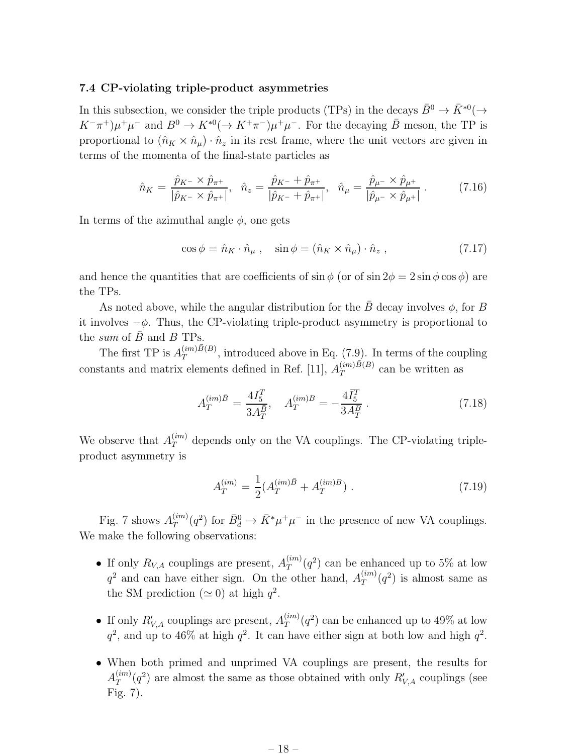#### 7.4 CP-violating triple-product asymmetries

In this subsection, we consider the triple products (TPs) in the decays  $\bar{B}^0 \to \bar{K}^{*0}(\to \bar{K}^0)$  $K^-\pi^+ \mu^+ \mu^-$  and  $B^0 \to K^{*0} (\to K^+\pi^-) \mu^+ \mu^-$ . For the decaying  $\bar{B}$  meson, the TP is proportional to  $(\hat{n}_K \times \hat{n}_\mu) \cdot \hat{n}_z$  in its rest frame, where the unit vectors are given in terms of the momenta of the final-state particles as

$$
\hat{n}_K = \frac{\hat{p}_{K^-} \times \hat{p}_{\pi^+}}{|\hat{p}_{K^-} \times \hat{p}_{\pi^+}|}, \quad \hat{n}_z = \frac{\hat{p}_{K^-} + \hat{p}_{\pi^+}}{|\hat{p}_{K^-} + \hat{p}_{\pi^+}|}, \quad \hat{n}_\mu = \frac{\hat{p}_{\mu^-} \times \hat{p}_{\mu^+}}{|\hat{p}_{\mu^-} \times \hat{p}_{\mu^+}|}.
$$
(7.16)

In terms of the azimuthal angle  $\phi$ , one gets

$$
\cos \phi = \hat{n}_K \cdot \hat{n}_\mu , \quad \sin \phi = (\hat{n}_K \times \hat{n}_\mu) \cdot \hat{n}_z , \qquad (7.17)
$$

and hence the quantities that are coefficients of  $\sin \phi$  (or of  $\sin 2\phi = 2 \sin \phi \cos \phi$ ) are the TPs.

As noted above, while the angular distribution for the  $\bar{B}$  decay involves  $\phi$ , for B it involves  $-\phi$ . Thus, the CP-violating triple-product asymmetry is proportional to the sum of  $\bar{B}$  and  $B$  TPs.

The first TP is  $A_T^{(im)\bar{B}(B)}$  $T^{(mn)B(D)}$ , introduced above in Eq. (7.9). In terms of the coupling constants and matrix elements defined in Ref. [11],  $A_T^{(im)\bar{B}(B)}$  $T^{(m)D(D)}$  can be written as

$$
A_T^{(im)\bar{B}} = \frac{4I_5^T}{3A_T^{\bar{B}}}, \quad A_T^{(im)B} = -\frac{4\bar{I}_5^T}{3A_T^B} \,. \tag{7.18}
$$

We observe that  $A_T^{(im)}$  depends only on the VA couplings. The CP-violating tripleproduct asymmetry is

$$
A_T^{(im)} = \frac{1}{2} (A_T^{(im)\bar{B}} + A_T^{(im)B}).
$$
\n(7.19)

Fig. 7 shows  $A_T^{(im)}$  $T_T^{(im)}(q^2)$  for  $\bar{B}_d^0 \to \bar{K}^* \mu^+ \mu^-$  in the presence of new VA couplings. We make the following observations:

- If only  $R_{V,A}$  couplings are present,  $A_T^{(im)}$  $\binom{(m)}{T}(q^2)$  can be enhanced up to 5% at low  $q^2$  and can have either sign. On the other hand,  $A_T^{(im)}$  $T^{(im)}(q^2)$  is almost same as the SM prediction ( $\simeq$  0) at high  $q^2$ .
- If only  $R'_{V,A}$  couplings are present,  $A_T^{(im)}$  $T(T^{(im)}(q^2))$  can be enhanced up to 49% at low  $q^2$ , and up to 46% at high  $q^2$ . It can have either sign at both low and high  $q^2$ .
- When both primed and unprimed VA couplings are present, the results for  $A_{T}^{(im)}$  $T^{(im)}(q^2)$  are almost the same as those obtained with only  $R'_{V,A}$  couplings (see Fig. 7).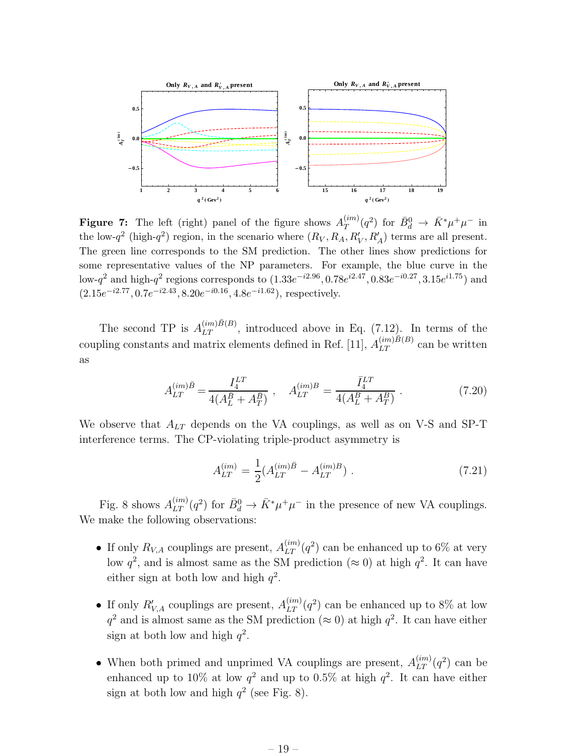

**Figure 7:** The left (right) panel of the figure shows  $A_T^{(im)}$  $T^{(im)}(q^2)$  for  $\bar{B}^0_d \to \bar{K}^* \mu^+ \mu^-$  in the low- $q^2$  (high- $q^2$ ) region, in the scenario where  $(R_V, R_A, R'_V, R'_A)$  terms are all present. The green line corresponds to the SM prediction. The other lines show predictions for some representative values of the NP parameters. For example, the blue curve in the low- $q^2$  and high- $q^2$  regions corresponds to  $(1.33e^{-i2.96}, 0.78e^{i2.47}, 0.83e^{-i0.27}, 3.15e^{i1.75})$  and  $(2.15e^{-i2.77}, 0.7e^{-i2.43}, 8.20e^{-i0.16}, 4.8e^{-i1.62})$ , respectively.

The second TP is  $A_{LT}^{(im)\bar{B}(B)}$ , introduced above in Eq. (7.12). In terms of the coupling constants and matrix elements defined in Ref. [11],  $A_{LT}^{(im)\bar{B}(B)}$  can be written as

$$
A_{LT}^{(im)\bar{B}} = \frac{I_4^{LT}}{4(A_L^{\bar{B}} + A_T^{\bar{B}})}, \quad A_{LT}^{(im)B} = \frac{\bar{I}_4^{LT}}{4(A_L^B + A_T^B)}.
$$
(7.20)

We observe that  $A_{LT}$  depends on the VA couplings, as well as on V-S and SP-T interference terms. The CP-violating triple-product asymmetry is

$$
A_{LT}^{(im)} = \frac{1}{2} (A_{LT}^{(im)\bar{B}} - A_{LT}^{(im)B}).
$$
\n(7.21)

Fig. 8 shows  $A_{LT}^{(im)}(q^2)$  for  $\bar{B}_d^0 \to \bar{K}^* \mu^+ \mu^-$  in the presence of new VA couplings. We make the following observations:

- If only  $R_{V,A}$  couplings are present,  $A_{LT}^{(im)}(q^2)$  can be enhanced up to 6% at very low  $q^2$ , and is almost same as the SM prediction ( $\approx 0$ ) at high  $q^2$ . It can have either sign at both low and high  $q^2$ .
- If only  $R'_{V,A}$  couplings are present,  $A_{LT}^{(im)}(q^2)$  can be enhanced up to 8% at low  $q^2$  and is almost same as the SM prediction ( $\approx 0$ ) at high  $q^2$ . It can have either sign at both low and high  $q^2$ .
- When both primed and unprimed VA couplings are present,  $A_{LT}^{(im)}(q^2)$  can be enhanced up to  $10\%$  at low  $q^2$  and up to  $0.5\%$  at high  $q^2$ . It can have either sign at both low and high  $q^2$  (see Fig. 8).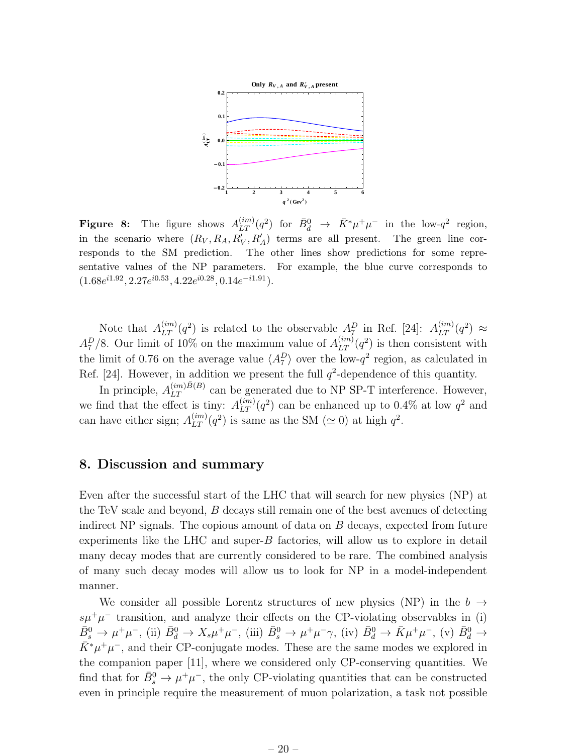

Figure 8: The figure shows  $A_{LT}^{(im)}(q^2)$  for  $\bar{B}_d^0 \to \bar{K}^* \mu^+ \mu^-$  in the low- $q^2$  region, in the scenario where  $(R_V, R_A, R'_V, R'_A)$  terms are all present. The green line corresponds to the SM prediction. The other lines show predictions for some representative values of the NP parameters. For example, the blue curve corresponds to  $(1.68e^{i1.92}, 2.27e^{i0.53}, 4.22e^{i0.28}, 0.14e^{-i1.91}).$ 

Note that  $A_{LT}^{(im)}(q^2)$  is related to the observable  $A_{L}^D$  in Ref. [24]:  $A_{LT}^{(im)}(q^2) \approx$  $A_7^D/8$ . Our limit of 10% on the maximum value of  $A_{LT}^{(im)}(q^2)$  is then consistent with the limit of 0.76 on the average value  $\langle A_7^D \rangle$  over the low- $q^2$  region, as calculated in Ref. [24]. However, in addition we present the full  $q^2$ -dependence of this quantity.

In principle,  $A_{LT}^{(im)\bar{B}(B)}$  can be generated due to NP SP-T interference. However, we find that the effect is tiny:  $A_{LT}^{(im)}(q^2)$  can be enhanced up to 0.4% at low  $q^2$  and can have either sign;  $A_{LT}^{(im)}(q^2)$  is same as the SM ( $\simeq$  0) at high  $q^2$ .

### 8. Discussion and summary

Even after the successful start of the LHC that will search for new physics (NP) at the TeV scale and beyond, B decays still remain one of the best avenues of detecting indirect NP signals. The copious amount of data on  $B$  decays, expected from future experiments like the LHC and super- $B$  factories, will allow us to explore in detail many decay modes that are currently considered to be rare. The combined analysis of many such decay modes will allow us to look for NP in a model-independent manner.

We consider all possible Lorentz structures of new physics (NP) in the  $b \rightarrow$  $s\mu^+\mu^-$  transition, and analyze their effects on the CP-violating observables in (i)  $\bar{B}^0_s \to \mu^+ \mu^-$ , (ii)  $\bar{B}^0_d \to X_s \mu^+ \mu^-$ , (iii)  $\bar{B}^0_s \to \mu^+ \mu^- \gamma$ , (iv)  $\bar{B}^0_d \to \bar{K} \mu^+ \mu^-$ , (v)  $\bar{B}^0_d \to$  $\bar{K}^* \mu^+ \mu^-$ , and their CP-conjugate modes. These are the same modes we explored in the companion paper [11], where we considered only CP-conserving quantities. We find that for  $\bar{B}_s^0 \to \mu^+\mu^-$ , the only CP-violating quantities that can be constructed even in principle require the measurement of muon polarization, a task not possible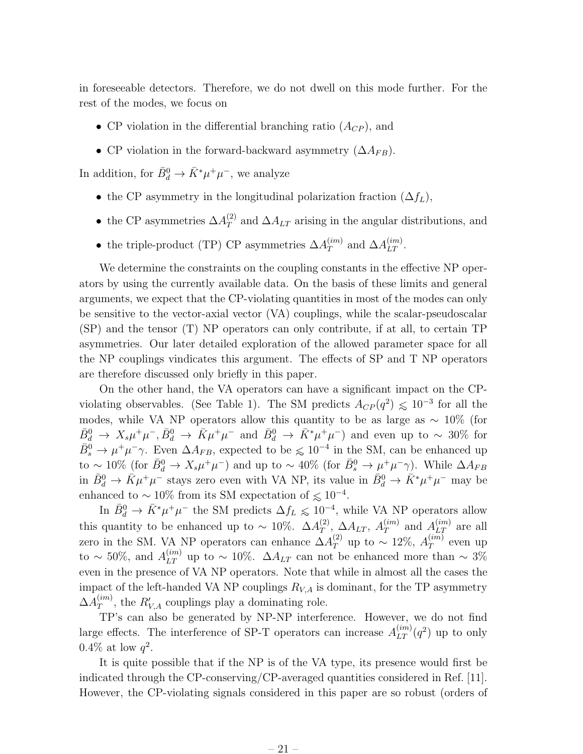in foreseeable detectors. Therefore, we do not dwell on this mode further. For the rest of the modes, we focus on

- CP violation in the differential branching ratio  $(A_{CP})$ , and
- CP violation in the forward-backward asymmetry  $(\Delta A_{FB})$ .

In addition, for  $\bar{B}_d^0 \to \bar{K}^* \mu^+ \mu^-$ , we analyze

- the CP asymmetry in the longitudinal polarization fraction  $(\Delta f_L)$ ,
- the CP asymmetries  $\Delta A_T^{(2)}$  $T$  and  $\Delta A_{LT}$  arising in the angular distributions, and
- the triple-product (TP) CP asymmetries  $\Delta A_T^{(im)}$  $T^{(im)}$  and  $\Delta A_{LT}^{(im)}$ .

We determine the constraints on the coupling constants in the effective NP operators by using the currently available data. On the basis of these limits and general arguments, we expect that the CP-violating quantities in most of the modes can only be sensitive to the vector-axial vector (VA) couplings, while the scalar-pseudoscalar (SP) and the tensor (T) NP operators can only contribute, if at all, to certain TP asymmetries. Our later detailed exploration of the allowed parameter space for all the NP couplings vindicates this argument. The effects of SP and T NP operators are therefore discussed only briefly in this paper.

On the other hand, the VA operators can have a significant impact on the CPviolating observables. (See Table 1). The SM predicts  $A_{CP}(q^2) \leq 10^{-3}$  for all the modes, while VA NP operators allow this quantity to be as large as  $\sim 10\%$  (for  $\bar{B}^0_d \to X_s \mu^+ \mu^-$ ,  $\bar{B}^0_d \to \bar{K} \mu^+ \mu^-$  and  $\bar{B}^0_d \to \bar{K}^* \mu^+ \mu^-$ ) and even up to ~ 30% for  $\bar{B}_s^0 \to \mu^+ \mu^- \gamma$ . Even  $\Delta A_{FB}$ , expected to be  $\leq 10^{-4}$  in the SM, can be enhanced up to ~10% (for  $\bar{B}_d^0 \to X_s \mu^+ \mu^-$ ) and up to ~40% (for  $\bar{B}_s^0 \to \mu^+ \mu^- \gamma$ ). While  $\Delta A_{FB}$ in  $\bar{B}_d^0 \to \bar{K} \mu^+ \mu^-$  stays zero even with VA NP, its value in  $\bar{B}_d^0 \to \bar{K}^* \mu^+ \mu^-$  may be enhanced to ~10% from its SM expectation of  $\leq 10^{-4}$ .

In  $\bar{B}_d^0 \to \bar{K}^* \mu^+ \mu^-$  the SM predicts  $\Delta f_L \leq 10^{-4}$ , while VA NP operators allow this quantity to be enhanced up to  $\sim 10\%$ .  $\Delta A_T^{(2)}$  $T^{(2)}, \Delta A_{LT}, A_T^{(im)}$  $T^{(im)}$  and  $A_{LT}^{(im)}$  are all zero in the SM. VA NP operators can enhance  $\Delta A_T^{(2)}$  up to  $\sim 12\%$ ,  $A_T^{(im)}$  $T^{(im)}$  even up to ~ 50%, and  $A_{LT}^{(im)}$  up to ~ 10%.  $\Delta A_{LT}$  can not be enhanced more than ~ 3% even in the presence of VA NP operators. Note that while in almost all the cases the impact of the left-handed VA NP couplings  $R_{V,A}$  is dominant, for the TP asymmetry  $\Delta A_T^{(im)}$  $T^{(m)}$ , the  $R'_{V,A}$  couplings play a dominating role.

TP's can also be generated by NP-NP interference. However, we do not find large effects. The interference of SP-T operators can increase  $A_{LT}^{(im)}(q^2)$  up to only  $0.4\%$  at low  $q^2$ .

It is quite possible that if the NP is of the VA type, its presence would first be indicated through the CP-conserving/CP-averaged quantities considered in Ref. [11]. However, the CP-violating signals considered in this paper are so robust (orders of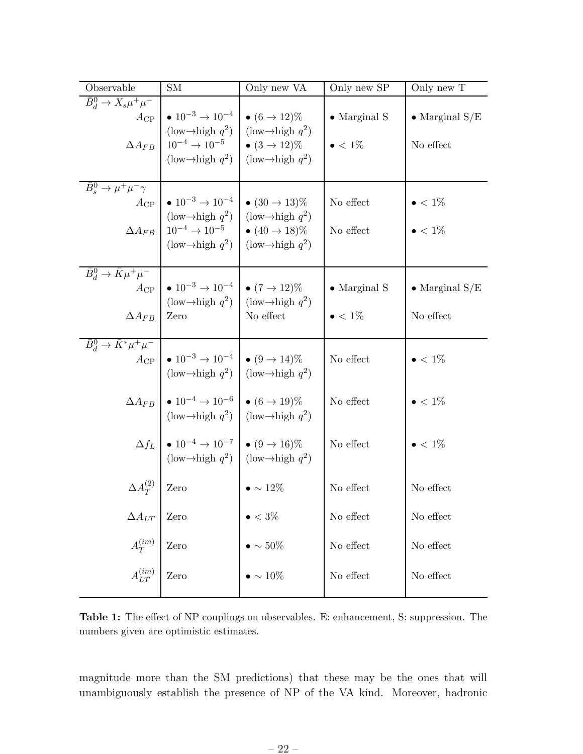| Observable                                                                                 | <b>SM</b>                                                                                                                                                                                                                                                              | Only new VA                      | Only new SP                             | Only new T                          |
|--------------------------------------------------------------------------------------------|------------------------------------------------------------------------------------------------------------------------------------------------------------------------------------------------------------------------------------------------------------------------|----------------------------------|-----------------------------------------|-------------------------------------|
| $\bar{B}_d^0 \to X_s \mu^+ \mu^-$<br>$A_{\rm CP}$<br>$\Delta A_{FB}$                       | • $10^{-3} \rightarrow 10^{-4}$   • $(6 \rightarrow 12)\%$<br>$(\text{low} \rightarrow \text{high } q^2)$ $(\text{low} \rightarrow \text{high } q^2)$<br>$10^{-4} \rightarrow 10^{-5}$ $\bullet$ $(3 \rightarrow 12)\%$<br>$(\text{low} \rightarrow \text{high } q^2)$ | (low- $\rightarrow$ high $q^2$ ) | $\bullet$ Marginal S<br>$\bullet < 1\%$ | • Marginal $S/E$<br>No effect       |
| $\bar{B}_s^0 \to \mu^+ \mu^- \gamma$<br>$A_{\rm CP}$<br>$\Delta A_{FB}$                    | • $10^{-3} \rightarrow 10^{-4}$   • $(30 \rightarrow 13)\%$<br>(low $\rightarrow$ high $q^2$ ) (low $\rightarrow$ high $q^2$ )<br>$10^{-4} \rightarrow 10^{-5}$ $\bullet$ $(40 \rightarrow 18)\%$<br>$(\text{low} \rightarrow \text{high } q^2)$                       | $\int$ (low ->high $q^2$ )       | No effect<br>No effect                  | $\bullet < 1\%$<br>$\bullet < 1\%$  |
| $\overline{B_d^0} \rightarrow \overline{K} \mu^+ \mu^-$<br>$A_{\rm CP}$<br>$\Delta A_{FB}$ | • $10^{-3} \rightarrow 10^{-4}$   • $(7 \rightarrow 12)\%$<br>$(\text{low} \rightarrow \text{high } q^2)$ $(\text{low} \rightarrow \text{high } q^2)$<br>Zero                                                                                                          | No effect                        | $\bullet$ Marginal S<br>$\bullet < 1\%$ | $\bullet$ Marginal S/E<br>No effect |
| $\bar{B}_d^0 \rightarrow \bar{K}^* \mu^+ \mu^-$<br>$A_{\rm CP}$                            | • $10^{-3} \rightarrow 10^{-4}$   • $(9 \rightarrow 14)\%$<br>(low $\rightarrow$ high $q^2$ ) (low $\rightarrow$ high $q^2$ )                                                                                                                                          |                                  | No effect                               | $\bullet < 1\%$                     |
|                                                                                            | $\Delta A_{FB}$   $\bullet$ 10 <sup>-4</sup> $\rightarrow$ 10 <sup>-6</sup>   $\bullet$ (6 $\rightarrow$ 19)%<br>(low $\rightarrow$ high $q^2$ ) (low $\rightarrow$ high $q^2$ )                                                                                       |                                  | No effect                               | $\bullet < 1\%$                     |
|                                                                                            | $\Delta f_L$ $\bullet$ 10 <sup>-4</sup> $\rightarrow$ 10 <sup>-7</sup> $\bullet$ (9 $\rightarrow$ 16)%<br>(low $\rightarrow$ high $q^2$ ) (low $\rightarrow$ high $q^2$ )                                                                                              |                                  | No effect                               | $\bullet < 1\%$                     |
| $\Delta A_T^{(2)}$                                                                         | Zero                                                                                                                                                                                                                                                                   | $\bullet \sim 12\%$              | No effect                               | No effect                           |
| $\Delta A_{LT}$                                                                            | Zero                                                                                                                                                                                                                                                                   | $\bullet < 3\%$                  | No effect                               | No effect                           |
| $A_T^{(im)}$                                                                               | Zero                                                                                                                                                                                                                                                                   | $\bullet \sim 50\%$              | No effect                               | No effect                           |
| $A_{LT}^{\left( {im} \right)}$                                                             | Zero                                                                                                                                                                                                                                                                   | $\bullet \sim 10\%$              | No effect                               | No effect                           |

Table 1: The effect of NP couplings on observables. E: enhancement, S: suppression. The numbers given are optimistic estimates.

magnitude more than the SM predictions) that these may be the ones that will unambiguously establish the presence of NP of the VA kind. Moreover, hadronic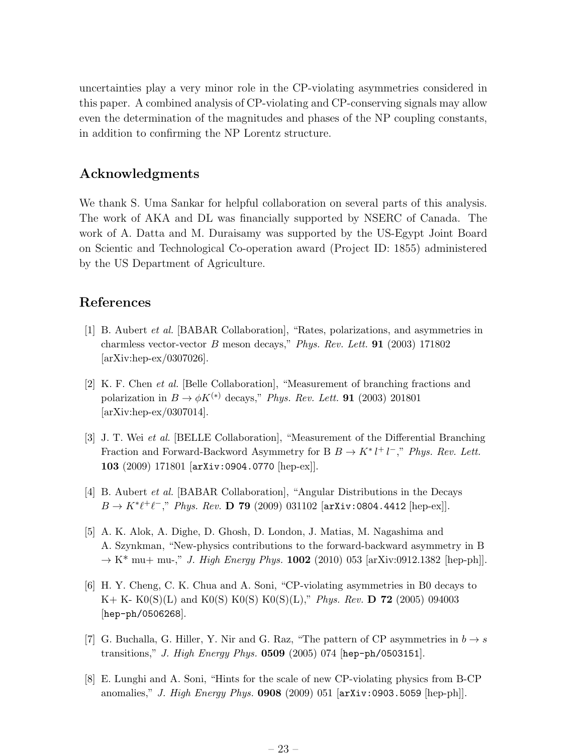uncertainties play a very minor role in the CP-violating asymmetries considered in this paper. A combined analysis of CP-violating and CP-conserving signals may allow even the determination of the magnitudes and phases of the NP coupling constants, in addition to confirming the NP Lorentz structure.

### Acknowledgments

We thank S. Uma Sankar for helpful collaboration on several parts of this analysis. The work of AKA and DL was financially supported by NSERC of Canada. The work of A. Datta and M. Duraisamy was supported by the US-Egypt Joint Board on Scientic and Technological Co-operation award (Project ID: 1855) administered by the US Department of Agriculture.

### References

- [1] B. Aubert et al. [BABAR Collaboration], "Rates, polarizations, and asymmetries in charmless vector-vector B meson decays," Phys. Rev. Lett. 91 (2003) 171802 [arXiv:hep-ex/0307026].
- [2] K. F. Chen et al. [Belle Collaboration], "Measurement of branching fractions and polarization in  $B \to \phi K^{(*)}$  decays," Phys. Rev. Lett. **91** (2003) 201801 [arXiv:hep-ex/0307014].
- [3] J. T. Wei et al. [BELLE Collaboration], "Measurement of the Differential Branching Fraction and Forward-Backword Asymmetry for B  $B \to K^* l^+ l^-$ ," Phys. Rev. Lett. 103 (2009) 171801 [arXiv:0904.0770 [hep-ex]].
- [4] B. Aubert et al. [BABAR Collaboration], "Angular Distributions in the Decays  $B \to K^* \ell^+ \ell^-,$ " Phys. Rev. **D 79** (2009) 031102 [arXiv:0804.4412 [hep-ex]].
- [5] A. K. Alok, A. Dighe, D. Ghosh, D. London, J. Matias, M. Nagashima and A. Szynkman, "New-physics contributions to the forward-backward asymmetry in B  $\rightarrow$  K<sup>\*</sup> mu+ mu-," *J. High Energy Phys.* **1002** (2010) 053 [arXiv:0912.1382 [hep-ph]].
- [6] H. Y. Cheng, C. K. Chua and A. Soni, "CP-violating asymmetries in B0 decays to  $K+ K- K0(S)(L)$  and  $K0(S) K0(S) K0(S)(L)$ ," Phys. Rev. **D** 72 (2005) 094003 [hep-ph/0506268].
- [7] G. Buchalla, G. Hiller, Y. Nir and G. Raz, "The pattern of CP asymmetries in  $b \rightarrow s$ transitions," J. High Energy Phys. 0509 (2005) 074 [hep-ph/0503151].
- [8] E. Lunghi and A. Soni, "Hints for the scale of new CP-violating physics from B-CP anomalies," J. High Energy Phys. 0908 (2009) 051 [arXiv:0903.5059 [hep-ph]].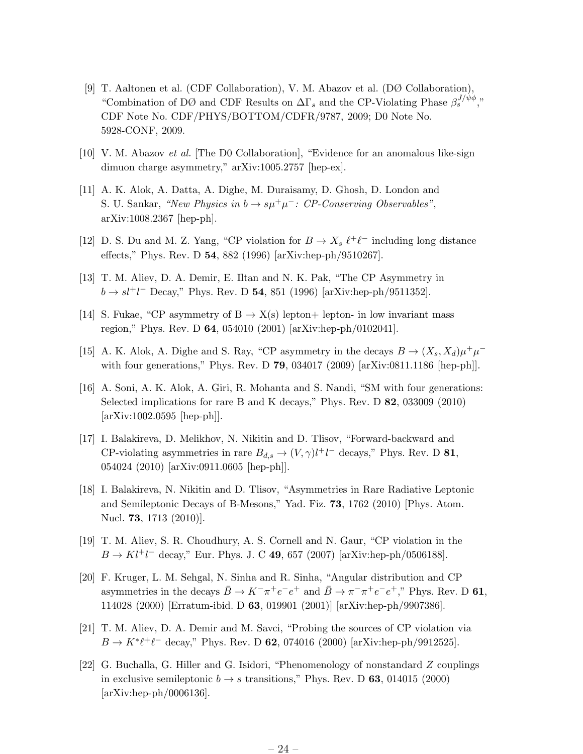- [9] T. Aaltonen et al. (CDF Collaboration), V. M. Abazov et al. (DØ Collaboration), "Combination of DØ and CDF Results on  $\Delta\Gamma_s$  and the CP-Violating Phase  $\beta_s^{J/\psi\phi}$ ," CDF Note No. CDF/PHYS/BOTTOM/CDFR/9787, 2009; D0 Note No. 5928-CONF, 2009.
- [10] V. M. Abazov et al. [The D0 Collaboration], "Evidence for an anomalous like-sign dimuon charge asymmetry," arXiv:1005.2757 [hep-ex].
- [11] A. K. Alok, A. Datta, A. Dighe, M. Duraisamy, D. Ghosh, D. London and S. U. Sankar, "New Physics in  $b \to s\mu^+\mu^-$ : CP-Conserving Observables", arXiv:1008.2367 [hep-ph].
- [12] D. S. Du and M. Z. Yang, "CP violation for  $B \to X_s \ell^+ \ell^-$  including long distance effects," Phys. Rev. D 54, 882 (1996) [arXiv:hep-ph/9510267].
- [13] T. M. Aliev, D. A. Demir, E. Iltan and N. K. Pak, "The CP Asymmetry in  $b \to s l^+ l^-$  Decay," Phys. Rev. D 54, 851 (1996) [arXiv:hep-ph/9511352].
- [14] S. Fukae, "CP asymmetry of  $B \to X(s)$  lepton+ lepton- in low invariant mass region," Phys. Rev. D 64, 054010 (2001) [arXiv:hep-ph/0102041].
- [15] A. K. Alok, A. Dighe and S. Ray, "CP asymmetry in the decays  $B \to (X_s, X_d)\mu^+\mu^$ with four generations," Phys. Rev. D **79**, 034017 (2009) [arXiv:0811.1186 [hep-ph]].
- [16] A. Soni, A. K. Alok, A. Giri, R. Mohanta and S. Nandi, "SM with four generations: Selected implications for rare B and K decays," Phys. Rev. D 82, 033009 (2010) [arXiv:1002.0595 [hep-ph]].
- [17] I. Balakireva, D. Melikhov, N. Nikitin and D. Tlisov, "Forward-backward and CP-violating asymmetries in rare  $B_{d,s} \to (V,\gamma)l^+l^-$  decays," Phys. Rev. D 81, 054024 (2010) [arXiv:0911.0605 [hep-ph]].
- [18] I. Balakireva, N. Nikitin and D. Tlisov, "Asymmetries in Rare Radiative Leptonic and Semileptonic Decays of B-Mesons," Yad. Fiz. 73, 1762 (2010) [Phys. Atom. Nucl. 73, 1713 (2010)].
- [19] T. M. Aliev, S. R. Choudhury, A. S. Cornell and N. Gaur, "CP violation in the  $B \to K l^+ l^-$  decay," Eur. Phys. J. C 49, 657 (2007) [arXiv:hep-ph/0506188].
- [20] F. Kruger, L. M. Sehgal, N. Sinha and R. Sinha, "Angular distribution and CP asymmetries in the decays  $\bar{B} \to K^-\pi^+e^-e^+$  and  $\bar{B} \to \pi^-\pi^+e^-e^+$ ," Phys. Rev. D 61, 114028 (2000) [Erratum-ibid. D 63, 019901 (2001)] [arXiv:hep-ph/9907386].
- [21] T. M. Aliev, D. A. Demir and M. Savci, "Probing the sources of CP violation via  $B \to K^* \ell^+ \ell^-$  decay," Phys. Rev. D 62, 074016 (2000) [arXiv:hep-ph/9912525].
- [22] G. Buchalla, G. Hiller and G. Isidori, "Phenomenology of nonstandard Z couplings in exclusive semileptonic  $b \rightarrow s$  transitions," Phys. Rev. D 63, 014015 (2000) [arXiv:hep-ph/0006136].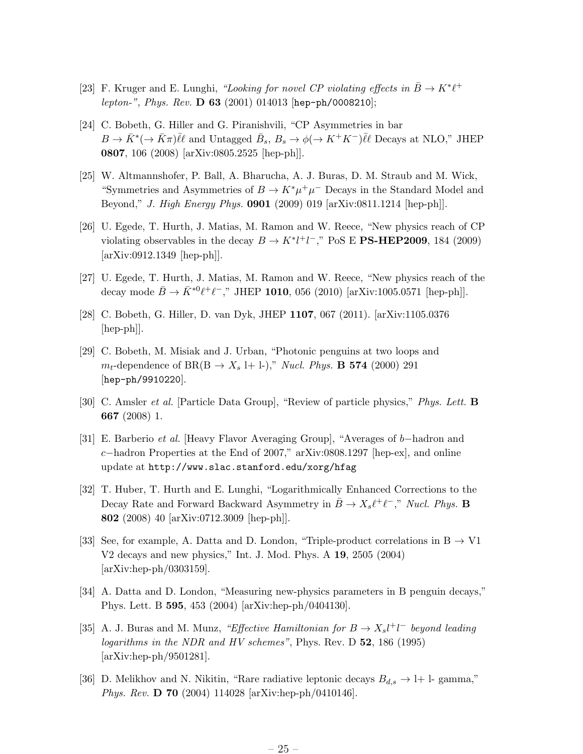- [23] F. Kruger and E. Lunghi, "Looking for novel CP violating effects in  $\bar{B} \to K^* \ell^+$ lepton-", Phys. Rev. D 63 (2001) 014013 [hep-ph/0008210];
- [24] C. Bobeth, G. Hiller and G. Piranishvili, "CP Asymmetries in bar  $B \to \bar{K}^* (\to \bar{K}\pi) \bar{\ell} \ell$  and Untagged  $\bar{B}_s$ ,  $B_s \to \phi (\to K^+K^-) \bar{\ell} \ell$  Decays at NLO," JHEP 0807, 106 (2008) [arXiv:0805.2525 [hep-ph]].
- [25] W. Altmannshofer, P. Ball, A. Bharucha, A. J. Buras, D. M. Straub and M. Wick, "Symmetries and Asymmetries of  $B \to K^* \mu^+ \mu^-$  Decays in the Standard Model and Beyond," J. High Energy Phys. 0901 (2009) 019 [arXiv:0811.1214 [hep-ph]].
- [26] U. Egede, T. Hurth, J. Matias, M. Ramon and W. Reece, "New physics reach of CP violating observables in the decay  $B \to K^* l^+ l^-$ ," PoS E **PS-HEP2009**, 184 (2009) [arXiv:0912.1349 [hep-ph]].
- [27] U. Egede, T. Hurth, J. Matias, M. Ramon and W. Reece, "New physics reach of the decay mode  $\bar{B} \to \bar{K}^{*0} \ell^+ \ell^-$ ," JHEP 1010, 056 (2010) [arXiv:1005.0571 [hep-ph]].
- [28] C. Bobeth, G. Hiller, D. van Dyk, JHEP 1107, 067 (2011). [arXiv:1105.0376 [hep-ph]].
- [29] C. Bobeth, M. Misiak and J. Urban, "Photonic penguins at two loops and  $m_t$ -dependence of BR(B  $\rightarrow X_s$  l+ l-)," *Nucl. Phys.* **B 574** (2000) 291 [hep-ph/9910220].
- [30] C. Amsler et al. [Particle Data Group], "Review of particle physics," Phys. Lett. B 667 (2008) 1.
- [31] E. Barberio et al. [Heavy Flavor Averaging Group], "Averages of b−hadron and c−hadron Properties at the End of 2007," arXiv:0808.1297 [hep-ex], and online update at http://www.slac.stanford.edu/xorg/hfag
- [32] T. Huber, T. Hurth and E. Lunghi, "Logarithmically Enhanced Corrections to the Decay Rate and Forward Backward Asymmetry in  $\bar{B} \to X_s \ell^+ \ell^-,$ " Nucl. Phys. **B** 802 (2008) 40 [arXiv:0712.3009 [hep-ph]].
- [33] See, for example, A. Datta and D. London, "Triple-product correlations in  $B \to V1$ V2 decays and new physics," Int. J. Mod. Phys. A 19, 2505 (2004) [arXiv:hep-ph/0303159].
- [34] A. Datta and D. London, "Measuring new-physics parameters in B penguin decays," Phys. Lett. B 595, 453 (2004) [arXiv:hep-ph/0404130].
- [35] A. J. Buras and M. Munz, "Effective Hamiltonian for  $B \to X_s l^+ l^-$  beyond leading logarithms in the NDR and HV schemes", Phys. Rev. D 52, 186 (1995) [arXiv:hep-ph/9501281].
- [36] D. Melikhov and N. Nikitin, "Rare radiative leptonic decays  $B_{d,s} \to l+1$  gamma," Phys. Rev. D 70 (2004) 114028 [arXiv:hep-ph/0410146].